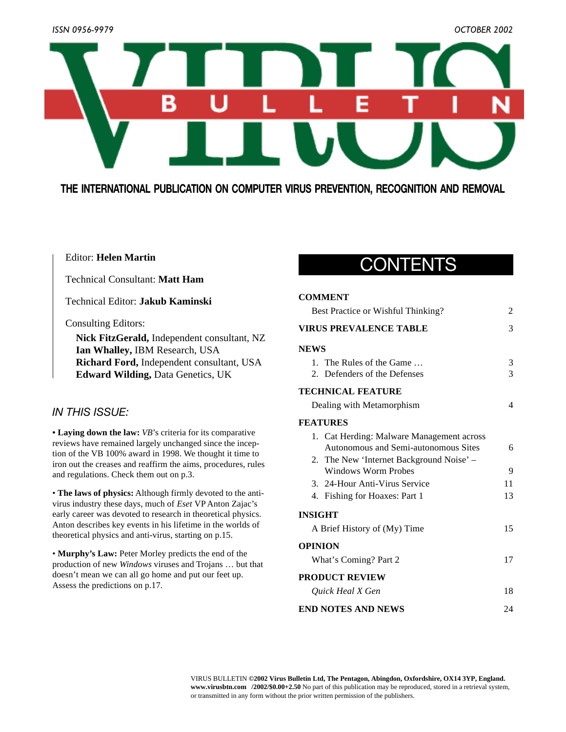

**THE INTERNATIONAL PUBLICATION ON COMPUTER VIRUS PREVENTION, RECOGNITION AND REMOVAL**

### Editor: **Helen Martin**

Technical Consultant: **Matt Ham**

Technical Editor: **Jakub Kaminski**

Consulting Editors:

**Nick FitzGerald,** Independent consultant, NZ **Ian Whalley,** IBM Research, USA **Richard Ford,** Independent consultant, USA **Edward Wilding,** Data Genetics, UK

### *IN THIS ISSUE:*

**• Laying down the law:** *VB*'s criteria for its comparative reviews have remained largely unchanged since the inception of the VB 100% award in 1998. We thought it time to iron out the creases and reaffirm the aims, procedures, rules and regulations. Check them out on p.3.

• **The laws of physics:** Although firmly devoted to the antivirus industry these days, much of *Eset* VP Anton Zajac's early career was devoted to research in theoretical physics. Anton describes key events in his lifetime in the worlds of theoretical physics and anti-virus, starting on p.15.

• **Murphy's Law:** Peter Morley predicts the end of the production of new *Windows* viruses and Trojans … but that doesn't mean we can all go home and put our feet up. Assess the predictions on p.17.

### CONTENTS

#### **COMMENT**

| Best Practice or Wishful Thinking?        |    |  |
|-------------------------------------------|----|--|
| <b>VIRUS PREVALENCE TABLE</b>             |    |  |
| <b>NEWS</b>                               |    |  |
| 1. The Rules of the Game                  | 3  |  |
| 2. Defenders of the Defenses              | 3  |  |
| <b>TECHNICAL FEATURE</b>                  |    |  |
| Dealing with Metamorphism                 | 4  |  |
| <b>FEATURES</b>                           |    |  |
| 1. Cat Herding: Malware Management across |    |  |
| Autonomous and Semi-autonomous Sites      | 6  |  |
| 2. The New 'Internet Background Noise' –  |    |  |
| <b>Windows Worm Probes</b>                | 9  |  |
| 3. 24-Hour Anti-Virus Service             | 11 |  |
| 4. Fishing for Hoaxes: Part 1             | 13 |  |
| <b>INSIGHT</b>                            |    |  |
| A Brief History of (My) Time              | 15 |  |
| <b>OPINION</b>                            |    |  |
| What's Coming? Part 2                     | 17 |  |
| <b>PRODUCT REVIEW</b>                     |    |  |
| Ouick Heal X Gen                          |    |  |
| <b>END NOTES AND NEWS</b>                 | 24 |  |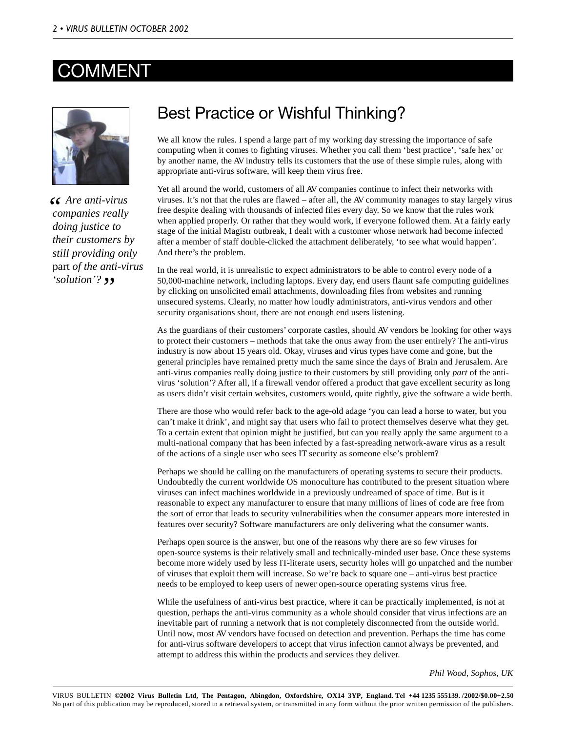### **COMMENT**



*Are anti-virus c c Are anti-virus companies really doing justice to their customers by still providing only* part *of the anti-virus 'solution'?* 

### Best Practice or Wishful Thinking?

We all know the rules. I spend a large part of my working day stressing the importance of safe computing when it comes to fighting viruses. Whether you call them 'best practice', 'safe hex' or by another name, the AV industry tells its customers that the use of these simple rules, along with appropriate anti-virus software, will keep them virus free.

Yet all around the world, customers of all AV companies continue to infect their networks with viruses. It's not that the rules are flawed – after all, the AV community manages to stay largely virus free despite dealing with thousands of infected files every day. So we know that the rules work when applied properly. Or rather that they would work, if everyone followed them. At a fairly early stage of the initial Magistr outbreak, I dealt with a customer whose network had become infected after a member of staff double-clicked the attachment deliberately, 'to see what would happen'. And there's the problem.

In the real world, it is unrealistic to expect administrators to be able to control every node of a 50,000-machine network, including laptops. Every day, end users flaunt safe computing guidelines by clicking on unsolicited email attachments, downloading files from websites and running unsecured systems. Clearly, no matter how loudly administrators, anti-virus vendors and other security organisations shout, there are not enough end users listening.

As the guardians of their customers' corporate castles, should AV vendors be looking for other ways to protect their customers – methods that take the onus away from the user entirely? The anti-virus industry is now about 15 years old. Okay, viruses and virus types have come and gone, but the general principles have remained pretty much the same since the days of Brain and Jerusalem. Are anti-virus companies really doing justice to their customers by still providing only *part* of the antivirus 'solution'? After all, if a firewall vendor offered a product that gave excellent security as long as users didn't visit certain websites, customers would, quite rightly, give the software a wide berth.

There are those who would refer back to the age-old adage 'you can lead a horse to water, but you can't make it drink', and might say that users who fail to protect themselves deserve what they get. To a certain extent that opinion might be justified, but can you really apply the same argument to a multi-national company that has been infected by a fast-spreading network-aware virus as a result of the actions of a single user who sees IT security as someone else's problem?

Perhaps we should be calling on the manufacturers of operating systems to secure their products. Undoubtedly the current worldwide OS monoculture has contributed to the present situation where viruses can infect machines worldwide in a previously undreamed of space of time. But is it reasonable to expect any manufacturer to ensure that many millions of lines of code are free from the sort of error that leads to security vulnerabilities when the consumer appears more interested in features over security? Software manufacturers are only delivering what the consumer wants.

Perhaps open source is the answer, but one of the reasons why there are so few viruses for open-source systems is their relatively small and technically-minded user base. Once these systems become more widely used by less IT-literate users, security holes will go unpatched and the number of viruses that exploit them will increase. So we're back to square one – anti-virus best practice needs to be employed to keep users of newer open-source operating systems virus free.

While the usefulness of anti-virus best practice, where it can be practically implemented, is not at question, perhaps the anti-virus community as a whole should consider that virus infections are an inevitable part of running a network that is not completely disconnected from the outside world. Until now, most AV vendors have focused on detection and prevention. Perhaps the time has come for anti-virus software developers to accept that virus infection cannot always be prevented, and attempt to address this within the products and services they deliver.

*Phil Wood, Sophos, UK*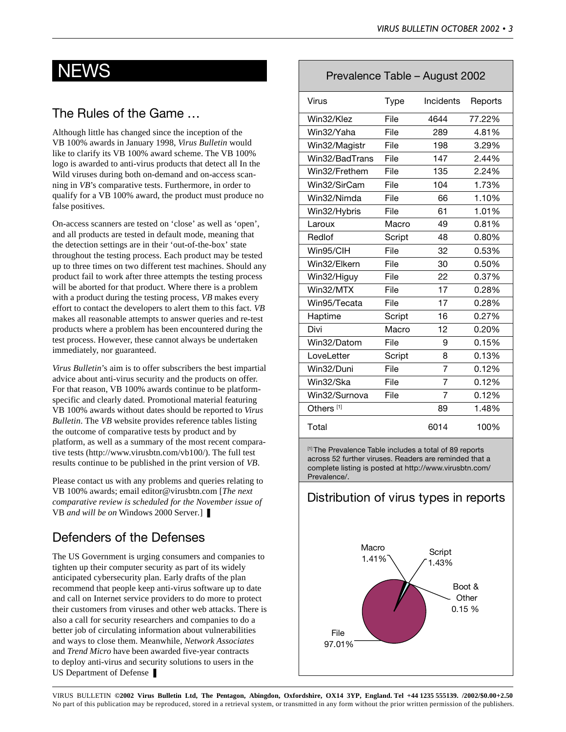### The Rules of the Game …

Although little has changed since the inception of the VB 100% awards in January 1998, *Virus Bulletin* would like to clarify its VB 100% award scheme. The VB 100% logo is awarded to anti-virus products that detect all In the Wild viruses during both on-demand and on-access scanning in *VB*'s comparative tests. Furthermore, in order to qualify for a VB 100% award, the product must produce no false positives.

On-access scanners are tested on 'close' as well as 'open', and all products are tested in default mode, meaning that the detection settings are in their 'out-of-the-box' state throughout the testing process. Each product may be tested up to three times on two different test machines. Should any product fail to work after three attempts the testing process will be aborted for that product. Where there is a problem with a product during the testing process, *VB* makes every effort to contact the developers to alert them to this fact. *VB* makes all reasonable attempts to answer queries and re-test products where a problem has been encountered during the test process. However, these cannot always be undertaken immediately, nor guaranteed.

*Virus Bulletin*'s aim is to offer subscribers the best impartial advice about anti-virus security and the products on offer. For that reason, VB 100% awards continue to be platformspecific and clearly dated. Promotional material featuring VB 100% awards without dates should be reported to *Virus Bulletin*. The *VB* website provides reference tables listing the outcome of comparative tests by product and by platform, as well as a summary of the most recent comparative tests (http://www.virusbtn.com/vb100/). The full test results continue to be published in the print version of *VB*.

Please contact us with any problems and queries relating to VB 100% awards; email editor@virusbtn.com [*The next comparative review is scheduled for the November issue of* VB *and will be on* Windows 2000 Server*.*] ❚

### Defenders of the Defenses

The US Government is urging consumers and companies to tighten up their computer security as part of its widely anticipated cybersecurity plan. Early drafts of the plan recommend that people keep anti-virus software up to date and call on Internet service providers to do more to protect their customers from viruses and other web attacks. There is also a call for security researchers and companies to do a better job of circulating information about vulnerabilities and ways to close them. Meanwhile, *Network Associates* and *Trend Micro* have been awarded five-year contracts to deploy anti-virus and security solutions to users in the US Department of Defense

### NEWS Prevalence Table – August 2002

| Virus                 | <b>Type</b> | <b>Incidents</b> | Reports |
|-----------------------|-------------|------------------|---------|
| Win32/Klez            | File        | 4644             | 77.22%  |
| Win32/Yaha            | File        | 289              | 4.81%   |
| Win32/Magistr         | File        | 198              | 3.29%   |
| Win32/BadTrans        | File        | 147              | 2.44%   |
| Win32/Frethem         | File        | 135              | 2.24%   |
| Win32/SirCam          | File        | 104              | 1.73%   |
| Win32/Nimda           | File        | 66               | 1.10%   |
| Win32/Hybris          | File        | 61               | 1.01%   |
| Laroux                | Macro       | 49               | 0.81%   |
| Redlof                | Script      | 48               | 0.80%   |
| Win95/CIH             | File        | 32               | 0.53%   |
| Win32/Elkern          | File        | 30               | 0.50%   |
| Win32/Higuy           | File        | 22               | 0.37%   |
| Win32/MTX             | File        | 17               | 0.28%   |
| Win95/Tecata          | File        | 17               | 0.28%   |
| Haptime               | Script      | 16               | 0.27%   |
| Divi                  | Macro       | 12               | 0.20%   |
| Win32/Datom           | File        | 9                | 0.15%   |
| LoveLetter            | Script      | 8                | 0.13%   |
| Win32/Duni            | File        | 7                | 0.12%   |
| Win32/Ska             | File        | $\overline{7}$   | 0.12%   |
| Win32/Surnova         | File        | 7                | 0.12%   |
| Others <sup>[1]</sup> |             | 89               | 1.48%   |
| Total                 |             | 6014             | 100%    |

[1] The Prevalence Table includes a total of 89 reports across 52 further viruses. Readers are reminded that a complete listing is posted at http://www.virusbtn.com/ Prevalence/.

### Distribution of virus types in reports

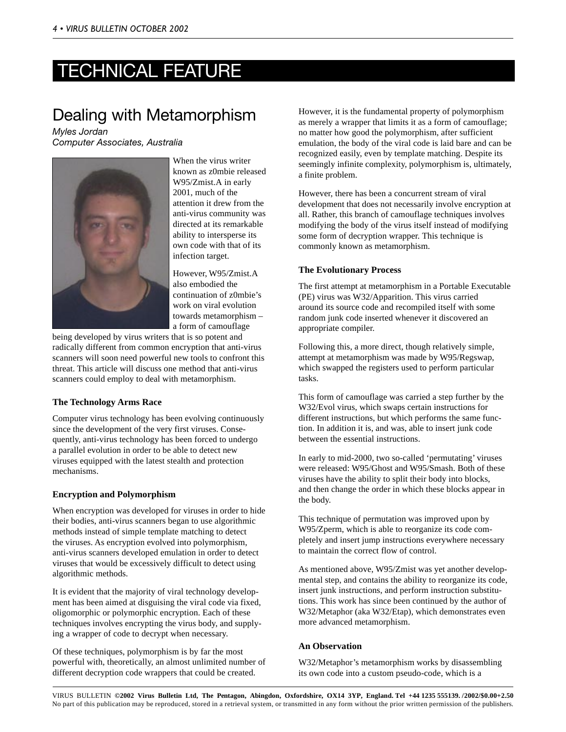# TECHNICAL FEATURE

### Dealing with Metamorphism

*Myles Jordan Computer Associates, Australia*



When the virus writer known as z0mbie released W95/Zmist.A in early 2001, much of the attention it drew from the anti-virus community was directed at its remarkable ability to intersperse its own code with that of its infection target.

However, W95/Zmist.A also embodied the continuation of z0mbie's work on viral evolution towards metamorphism – a form of camouflage

being developed by virus writers that is so potent and radically different from common encryption that anti-virus scanners will soon need powerful new tools to confront this threat. This article will discuss one method that anti-virus scanners could employ to deal with metamorphism.

#### **The Technology Arms Race**

Computer virus technology has been evolving continuously since the development of the very first viruses. Consequently, anti-virus technology has been forced to undergo a parallel evolution in order to be able to detect new viruses equipped with the latest stealth and protection mechanisms.

#### **Encryption and Polymorphism**

When encryption was developed for viruses in order to hide their bodies, anti-virus scanners began to use algorithmic methods instead of simple template matching to detect the viruses. As encryption evolved into polymorphism, anti-virus scanners developed emulation in order to detect viruses that would be excessively difficult to detect using algorithmic methods.

It is evident that the majority of viral technology development has been aimed at disguising the viral code via fixed, oligomorphic or polymorphic encryption. Each of these techniques involves encrypting the virus body, and supplying a wrapper of code to decrypt when necessary.

Of these techniques, polymorphism is by far the most powerful with, theoretically, an almost unlimited number of different decryption code wrappers that could be created.

However, it is the fundamental property of polymorphism as merely a wrapper that limits it as a form of camouflage; no matter how good the polymorphism, after sufficient emulation, the body of the viral code is laid bare and can be recognized easily, even by template matching. Despite its seemingly infinite complexity, polymorphism is, ultimately, a finite problem.

However, there has been a concurrent stream of viral development that does not necessarily involve encryption at all. Rather, this branch of camouflage techniques involves modifying the body of the virus itself instead of modifying some form of decryption wrapper. This technique is commonly known as metamorphism.

#### **The Evolutionary Process**

The first attempt at metamorphism in a Portable Executable (PE) virus was W32/Apparition. This virus carried around its source code and recompiled itself with some random junk code inserted whenever it discovered an appropriate compiler.

Following this, a more direct, though relatively simple, attempt at metamorphism was made by W95/Regswap, which swapped the registers used to perform particular tasks.

This form of camouflage was carried a step further by the W32/Evol virus, which swaps certain instructions for different instructions, but which performs the same function. In addition it is, and was, able to insert junk code between the essential instructions.

In early to mid-2000, two so-called 'permutating' viruses were released: W95/Ghost and W95/Smash. Both of these viruses have the ability to split their body into blocks, and then change the order in which these blocks appear in the body.

This technique of permutation was improved upon by W95/Zperm, which is able to reorganize its code completely and insert jump instructions everywhere necessary to maintain the correct flow of control.

As mentioned above, W95/Zmist was yet another developmental step, and contains the ability to reorganize its code, insert junk instructions, and perform instruction substitutions. This work has since been continued by the author of W32/Metaphor (aka W32/Etap), which demonstrates even more advanced metamorphism.

#### **An Observation**

W32/Metaphor's metamorphism works by disassembling its own code into a custom pseudo-code, which is a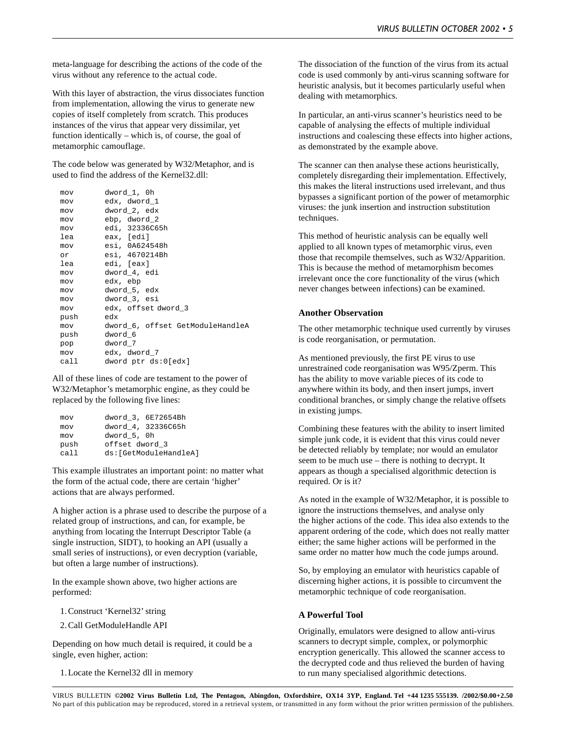meta-language for describing the actions of the code of the virus without any reference to the actual code.

With this layer of abstraction, the virus dissociates function from implementation, allowing the virus to generate new copies of itself completely from scratch. This produces instances of the virus that appear very dissimilar, yet function identically – which is, of course, the goal of metamorphic camouflage.

The code below was generated by W32/Metaphor, and is used to find the address of the Kernel32.dll:

| mov  | dword 1, 0h                      |
|------|----------------------------------|
| mov  | edx, dword 1                     |
| mov  | dword_2, edx                     |
| mov  | ebp, dword 2                     |
| mov  | edi, 32336C65h                   |
| lea  | eax, [edi]                       |
| mov  | esi, 0A624548h                   |
| or.  | esi, 4670214Bh                   |
| lea  | edi, [eax]                       |
| mov  | dword_4, edi                     |
| mov  | edx, ebp                         |
| mov  | dword 5, edx                     |
| mov  | dword_3, esi                     |
| mov  | edx, offset dword 3              |
| push | edx                              |
| mov  | dword 6, offset GetModuleHandleA |
| push | dword 6                          |
| pop  | dword_7                          |
| mov  | edx, dword 7                     |
| call | dword ptr ds:0[edx]              |

All of these lines of code are testament to the power of W32/Metaphor's metamorphic engine, as they could be replaced by the following five lines:

| mov  |                | dword_3, 6E72654Bh     |
|------|----------------|------------------------|
| mov  |                | dword_4, 32336C65h     |
| mov  | dword 5, 0h    |                        |
| push | offset dword 3 |                        |
| ca11 |                | ds: [GetModuleHandleA] |

This example illustrates an important point: no matter what the form of the actual code, there are certain 'higher' actions that are always performed.

A higher action is a phrase used to describe the purpose of a related group of instructions, and can, for example, be anything from locating the Interrupt Descriptor Table (a single instruction, SIDT), to hooking an API (usually a small series of instructions), or even decryption (variable, but often a large number of instructions).

In the example shown above, two higher actions are performed:

1. Construct 'Kernel32' string

2. Call GetModuleHandle API

Depending on how much detail is required, it could be a single, even higher, action:

1. Locate the Kernel32 dll in memory

The dissociation of the function of the virus from its actual code is used commonly by anti-virus scanning software for heuristic analysis, but it becomes particularly useful when dealing with metamorphics.

In particular, an anti-virus scanner's heuristics need to be capable of analysing the effects of multiple individual instructions and coalescing these effects into higher actions, as demonstrated by the example above.

The scanner can then analyse these actions heuristically, completely disregarding their implementation. Effectively, this makes the literal instructions used irrelevant, and thus bypasses a significant portion of the power of metamorphic viruses: the junk insertion and instruction substitution techniques.

This method of heuristic analysis can be equally well applied to all known types of metamorphic virus, even those that recompile themselves, such as W32/Apparition. This is because the method of metamorphism becomes irrelevant once the core functionality of the virus (which never changes between infections) can be examined.

#### **Another Observation**

The other metamorphic technique used currently by viruses is code reorganisation, or permutation.

As mentioned previously, the first PE virus to use unrestrained code reorganisation was W95/Zperm. This has the ability to move variable pieces of its code to anywhere within its body, and then insert jumps, invert conditional branches, or simply change the relative offsets in existing jumps.

Combining these features with the ability to insert limited simple junk code, it is evident that this virus could never be detected reliably by template; nor would an emulator seem to be much use – there is nothing to decrypt. It appears as though a specialised algorithmic detection is required. Or is it?

As noted in the example of W32/Metaphor, it is possible to ignore the instructions themselves, and analyse only the higher actions of the code. This idea also extends to the apparent ordering of the code, which does not really matter either; the same higher actions will be performed in the same order no matter how much the code jumps around.

So, by employing an emulator with heuristics capable of discerning higher actions, it is possible to circumvent the metamorphic technique of code reorganisation.

#### **A Powerful Tool**

Originally, emulators were designed to allow anti-virus scanners to decrypt simple, complex, or polymorphic encryption generically. This allowed the scanner access to the decrypted code and thus relieved the burden of having to run many specialised algorithmic detections.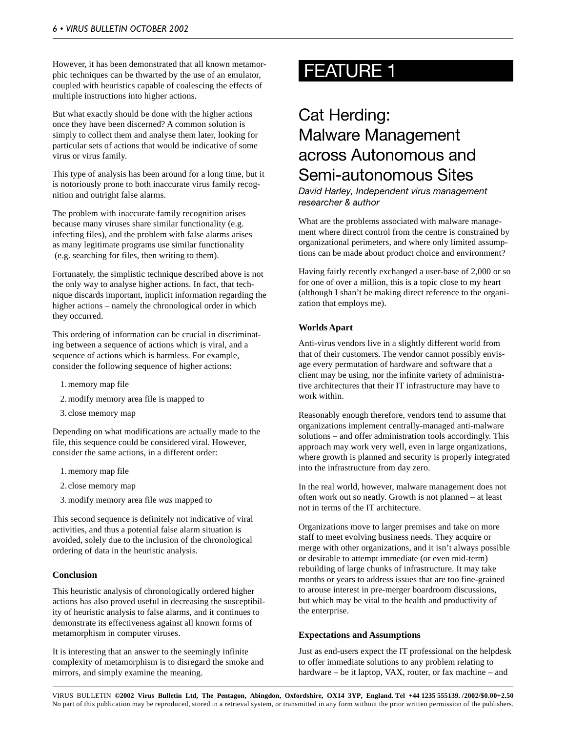However, it has been demonstrated that all known metamorphic techniques can be thwarted by the use of an emulator, coupled with heuristics capable of coalescing the effects of multiple instructions into higher actions.

But what exactly should be done with the higher actions once they have been discerned? A common solution is simply to collect them and analyse them later, looking for particular sets of actions that would be indicative of some virus or virus family.

This type of analysis has been around for a long time, but it is notoriously prone to both inaccurate virus family recognition and outright false alarms.

The problem with inaccurate family recognition arises because many viruses share similar functionality (e.g. infecting files), and the problem with false alarms arises as many legitimate programs use similar functionality (e.g. searching for files, then writing to them).

Fortunately, the simplistic technique described above is not the only way to analyse higher actions. In fact, that technique discards important, implicit information regarding the higher actions – namely the chronological order in which they occurred.

This ordering of information can be crucial in discriminating between a sequence of actions which is viral, and a sequence of actions which is harmless. For example, consider the following sequence of higher actions:

- 1. memory map file
- 2. modify memory area file is mapped to
- 3. close memory map

Depending on what modifications are actually made to the file, this sequence could be considered viral. However, consider the same actions, in a different order:

- 1. memory map file
- 2. close memory map
- 3. modify memory area file *was* mapped to

This second sequence is definitely not indicative of viral activities, and thus a potential false alarm situation is avoided, solely due to the inclusion of the chronological ordering of data in the heuristic analysis.

#### **Conclusion**

This heuristic analysis of chronologically ordered higher actions has also proved useful in decreasing the susceptibility of heuristic analysis to false alarms, and it continues to demonstrate its effectiveness against all known forms of metamorphism in computer viruses.

It is interesting that an answer to the seemingly infinite complexity of metamorphism is to disregard the smoke and mirrors, and simply examine the meaning.

# FEATURE 1

### Cat Herding: Malware Management across Autonomous and Semi-autonomous Sites

*David Harley, Independent virus management researcher & author*

What are the problems associated with malware management where direct control from the centre is constrained by organizational perimeters, and where only limited assumptions can be made about product choice and environment?

Having fairly recently exchanged a user-base of 2,000 or so for one of over a million, this is a topic close to my heart (although I shan't be making direct reference to the organization that employs me).

#### **Worlds Apart**

Anti-virus vendors live in a slightly different world from that of their customers. The vendor cannot possibly envisage every permutation of hardware and software that a client may be using, nor the infinite variety of administrative architectures that their IT infrastructure may have to work within.

Reasonably enough therefore, vendors tend to assume that organizations implement centrally-managed anti-malware solutions – and offer administration tools accordingly. This approach may work very well, even in large organizations, where growth is planned and security is properly integrated into the infrastructure from day zero.

In the real world, however, malware management does not often work out so neatly. Growth is not planned – at least not in terms of the IT architecture.

Organizations move to larger premises and take on more staff to meet evolving business needs. They acquire or merge with other organizations, and it isn't always possible or desirable to attempt immediate (or even mid-term) rebuilding of large chunks of infrastructure. It may take months or years to address issues that are too fine-grained to arouse interest in pre-merger boardroom discussions, but which may be vital to the health and productivity of the enterprise.

#### **Expectations and Assumptions**

Just as end-users expect the IT professional on the helpdesk to offer immediate solutions to any problem relating to hardware – be it laptop, VAX, router, or fax machine – and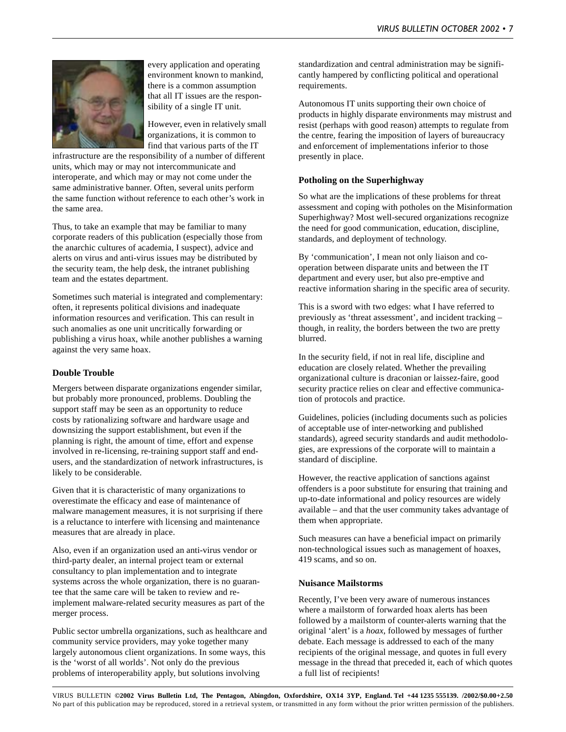

every application and operating environment known to mankind, there is a common assumption that all IT issues are the responsibility of a single IT unit.

However, even in relatively small organizations, it is common to find that various parts of the IT

infrastructure are the responsibility of a number of different units, which may or may not intercommunicate and interoperate, and which may or may not come under the same administrative banner. Often, several units perform the same function without reference to each other's work in the same area.

Thus, to take an example that may be familiar to many corporate readers of this publication (especially those from the anarchic cultures of academia, I suspect), advice and alerts on virus and anti-virus issues may be distributed by the security team, the help desk, the intranet publishing team and the estates department.

Sometimes such material is integrated and complementary: often, it represents political divisions and inadequate information resources and verification. This can result in such anomalies as one unit uncritically forwarding or publishing a virus hoax, while another publishes a warning against the very same hoax.

#### **Double Trouble**

Mergers between disparate organizations engender similar, but probably more pronounced, problems. Doubling the support staff may be seen as an opportunity to reduce costs by rationalizing software and hardware usage and downsizing the support establishment, but even if the planning is right, the amount of time, effort and expense involved in re-licensing, re-training support staff and endusers, and the standardization of network infrastructures, is likely to be considerable.

Given that it is characteristic of many organizations to overestimate the efficacy and ease of maintenance of malware management measures, it is not surprising if there is a reluctance to interfere with licensing and maintenance measures that are already in place.

Also, even if an organization used an anti-virus vendor or third-party dealer, an internal project team or external consultancy to plan implementation and to integrate systems across the whole organization, there is no guarantee that the same care will be taken to review and reimplement malware-related security measures as part of the merger process.

Public sector umbrella organizations, such as healthcare and community service providers, may yoke together many largely autonomous client organizations. In some ways, this is the 'worst of all worlds'. Not only do the previous problems of interoperability apply, but solutions involving

standardization and central administration may be significantly hampered by conflicting political and operational requirements.

Autonomous IT units supporting their own choice of products in highly disparate environments may mistrust and resist (perhaps with good reason) attempts to regulate from the centre, fearing the imposition of layers of bureaucracy and enforcement of implementations inferior to those presently in place.

#### **Potholing on the Superhighway**

So what are the implications of these problems for threat assessment and coping with potholes on the Misinformation Superhighway? Most well-secured organizations recognize the need for good communication, education, discipline, standards, and deployment of technology.

By 'communication', I mean not only liaison and cooperation between disparate units and between the IT department and every user, but also pre-emptive and reactive information sharing in the specific area of security.

This is a sword with two edges: what I have referred to previously as 'threat assessment', and incident tracking – though, in reality, the borders between the two are pretty blurred.

In the security field, if not in real life, discipline and education are closely related. Whether the prevailing organizational culture is draconian or laissez-faire, good security practice relies on clear and effective communication of protocols and practice.

Guidelines, policies (including documents such as policies of acceptable use of inter-networking and published standards), agreed security standards and audit methodologies, are expressions of the corporate will to maintain a standard of discipline.

However, the reactive application of sanctions against offenders is a poor substitute for ensuring that training and up-to-date informational and policy resources are widely available – and that the user community takes advantage of them when appropriate.

Such measures can have a beneficial impact on primarily non-technological issues such as management of hoaxes, 419 scams, and so on.

#### **Nuisance Mailstorms**

Recently, I've been very aware of numerous instances where a mailstorm of forwarded hoax alerts has been followed by a mailstorm of counter-alerts warning that the original 'alert' is a *hoax*, followed by messages of further debate. Each message is addressed to each of the many recipients of the original message, and quotes in full every message in the thread that preceded it, each of which quotes a full list of recipients!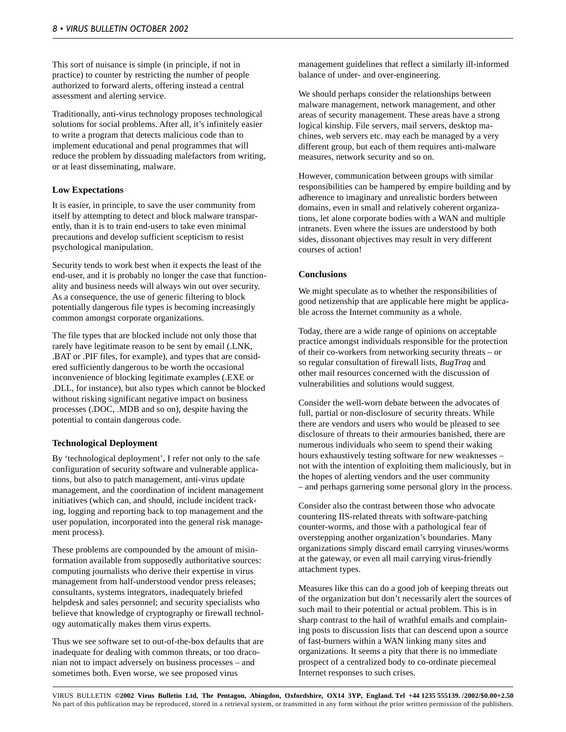This sort of nuisance is simple (in principle, if not in practice) to counter by restricting the number of people authorized to forward alerts, offering instead a central assessment and alerting service.

Traditionally, anti-virus technology proposes technological solutions for social problems. After all, it's infinitely easier to write a program that detects malicious code than to implement educational and penal programmes that will reduce the problem by dissuading malefactors from writing, or at least disseminating, malware.

#### **Low Expectations**

It is easier, in principle, to save the user community from itself by attempting to detect and block malware transparently, than it is to train end-users to take even minimal precautions and develop sufficient scepticism to resist psychological manipulation.

Security tends to work best when it expects the least of the end-user, and it is probably no longer the case that functionality and business needs will always win out over security. As a consequence, the use of generic filtering to block potentially dangerous file types is becoming increasingly common amongst corporate organizations.

The file types that are blocked include not only those that rarely have legitimate reason to be sent by email (.LNK, .BAT or .PIF files, for example), and types that are considered sufficiently dangerous to be worth the occasional inconvenience of blocking legitimate examples (.EXE or .DLL, for instance), but also types which cannot be blocked without risking significant negative impact on business processes (.DOC, .MDB and so on), despite having the potential to contain dangerous code.

#### **Technological Deployment**

By 'technological deployment', I refer not only to the safe configuration of security software and vulnerable applications, but also to patch management, anti-virus update management, and the coordination of incident management initiatives (which can, and should, include incident tracking, logging and reporting back to top management and the user population, incorporated into the general risk management process).

These problems are compounded by the amount of misinformation available from supposedly authoritative sources: computing journalists who derive their expertise in virus management from half-understood vendor press releases; consultants, systems integrators, inadequately briefed helpdesk and sales personnel; and security specialists who believe that knowledge of cryptography or firewall technology automatically makes them virus experts.

Thus we see software set to out-of-the-box defaults that are inadequate for dealing with common threats, or too draconian not to impact adversely on business processes – and sometimes both. Even worse, we see proposed virus

management guidelines that reflect a similarly ill-informed balance of under- and over-engineering.

We should perhaps consider the relationships between malware management, network management, and other areas of security management. These areas have a strong logical kinship. File servers, mail servers, desktop machines, web servers etc. may each be managed by a very different group, but each of them requires anti-malware measures, network security and so on.

However, communication between groups with similar responsibilities can be hampered by empire building and by adherence to imaginary and unrealistic borders between domains, even in small and relatively coherent organizations, let alone corporate bodies with a WAN and multiple intranets. Even where the issues are understood by both sides, dissonant objectives may result in very different courses of action!

#### **Conclusions**

We might speculate as to whether the responsibilities of good netizenship that are applicable here might be applicable across the Internet community as a whole.

Today, there are a wide range of opinions on acceptable practice amongst individuals responsible for the protection of their co-workers from networking security threats – or so regular consultation of firewall lists, *BugTraq* and other mail resources concerned with the discussion of vulnerabilities and solutions would suggest.

Consider the well-worn debate between the advocates of full, partial or non-disclosure of security threats. While there are vendors and users who would be pleased to see disclosure of threats to their armouries banished, there are numerous individuals who seem to spend their waking hours exhaustively testing software for new weaknesses – not with the intention of exploiting them maliciously, but in the hopes of alerting vendors and the user community – and perhaps garnering some personal glory in the process.

Consider also the contrast between those who advocate countering IIS-related threats with software-patching counter-worms, and those with a pathological fear of overstepping another organization's boundaries. Many organizations simply discard email carrying viruses/worms at the gateway, or even all mail carrying virus-friendly attachment types.

Measures like this can do a good job of keeping threats out of the organization but don't necessarily alert the sources of such mail to their potential or actual problem. This is in sharp contrast to the hail of wrathful emails and complaining posts to discussion lists that can descend upon a source of fast-burners within a WAN linking many sites and organizations. It seems a pity that there is no immediate prospect of a centralized body to co-ordinate piecemeal Internet responses to such crises.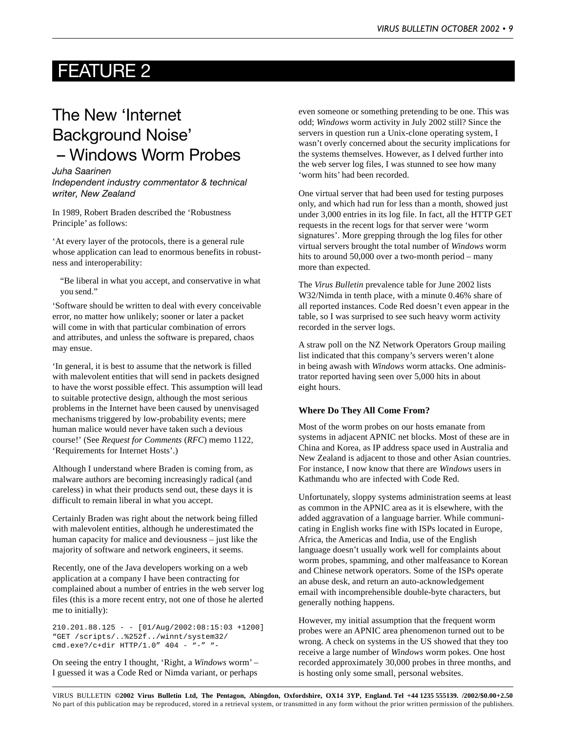### FEATURE 2

### The New 'Internet Background Noise' – Windows Worm Probes

*Juha Saarinen Independent industry commentator & technical writer, New Zealand*

In 1989, Robert Braden described the 'Robustness Principle' as follows:

'At every layer of the protocols, there is a general rule whose application can lead to enormous benefits in robustness and interoperability:

"Be liberal in what you accept, and conservative in what you send."

'Software should be written to deal with every conceivable error, no matter how unlikely; sooner or later a packet will come in with that particular combination of errors and attributes, and unless the software is prepared, chaos may ensue.

'In general, it is best to assume that the network is filled with malevolent entities that will send in packets designed to have the worst possible effect. This assumption will lead to suitable protective design, although the most serious problems in the Internet have been caused by unenvisaged mechanisms triggered by low-probability events; mere human malice would never have taken such a devious course!' (See *Request for Comments* (*RFC*) memo 1122, 'Requirements for Internet Hosts'.)

Although I understand where Braden is coming from, as malware authors are becoming increasingly radical (and careless) in what their products send out, these days it is difficult to remain liberal in what you accept.

Certainly Braden was right about the network being filled with malevolent entities, although he underestimated the human capacity for malice and deviousness – just like the majority of software and network engineers, it seems.

Recently, one of the Java developers working on a web application at a company I have been contracting for complained about a number of entries in the web server log files (this is a more recent entry, not one of those he alerted me to initially):

 $210.201.88.125 - 101/Auq/2002:08:15:03 +12001$ "GET /scripts/..%252f../winnt/system32/ cmd.exe?/c+dir HTTP/1.0" 404 - "-" "-

On seeing the entry I thought, 'Right, a *Windows* worm' – I guessed it was a Code Red or Nimda variant, or perhaps

even someone or something pretending to be one. This was odd; *Windows* worm activity in July 2002 still? Since the servers in question run a Unix-clone operating system, I wasn't overly concerned about the security implications for the systems themselves. However, as I delved further into the web server log files, I was stunned to see how many 'worm hits' had been recorded.

One virtual server that had been used for testing purposes only, and which had run for less than a month, showed just under 3,000 entries in its log file. In fact, all the HTTP GET requests in the recent logs for that server were 'worm signatures'. More grepping through the log files for other virtual servers brought the total number of *Windows* worm hits to around 50,000 over a two-month period – many more than expected.

The *Virus Bulletin* prevalence table for June 2002 lists W32/Nimda in tenth place, with a minute 0.46% share of all reported instances. Code Red doesn't even appear in the table, so I was surprised to see such heavy worm activity recorded in the server logs.

A straw poll on the NZ Network Operators Group mailing list indicated that this company's servers weren't alone in being awash with *Windows* worm attacks. One administrator reported having seen over 5,000 hits in about eight hours.

#### **Where Do They All Come From?**

Most of the worm probes on our hosts emanate from systems in adjacent APNIC net blocks. Most of these are in China and Korea, as IP address space used in Australia and New Zealand is adjacent to those and other Asian countries. For instance, I now know that there are *Windows* users in Kathmandu who are infected with Code Red.

Unfortunately, sloppy systems administration seems at least as common in the APNIC area as it is elsewhere, with the added aggravation of a language barrier. While communicating in English works fine with ISPs located in Europe, Africa, the Americas and India, use of the English language doesn't usually work well for complaints about worm probes, spamming, and other malfeasance to Korean and Chinese network operators. Some of the ISPs operate an abuse desk, and return an auto-acknowledgement email with incomprehensible double-byte characters, but generally nothing happens.

However, my initial assumption that the frequent worm probes were an APNIC area phenomenon turned out to be wrong. A check on systems in the US showed that they too receive a large number of *Windows* worm pokes. One host recorded approximately 30,000 probes in three months, and is hosting only some small, personal websites.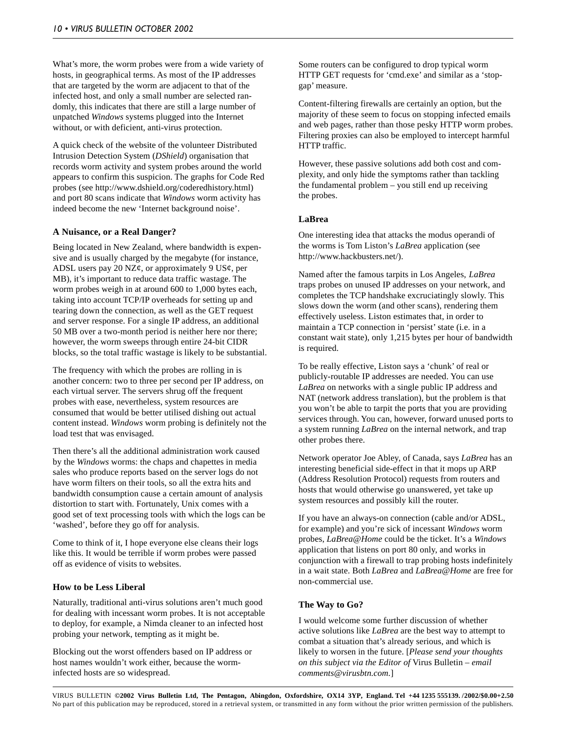What's more, the worm probes were from a wide variety of hosts, in geographical terms. As most of the IP addresses that are targeted by the worm are adjacent to that of the infected host, and only a small number are selected randomly, this indicates that there are still a large number of unpatched *Windows* systems plugged into the Internet without, or with deficient, anti-virus protection.

A quick check of the website of the volunteer Distributed Intrusion Detection System (*DShield*) organisation that records worm activity and system probes around the world appears to confirm this suspicion. The graphs for Code Red probes (see http://www.dshield.org/coderedhistory.html) and port 80 scans indicate that *Windows* worm activity has indeed become the new 'Internet background noise'.

#### **A Nuisance, or a Real Danger?**

Being located in New Zealand, where bandwidth is expensive and is usually charged by the megabyte (for instance, ADSL users pay 20 NZ $\varphi$ , or approximately 9 US $\varphi$ , per MB), it's important to reduce data traffic wastage. The worm probes weigh in at around 600 to 1,000 bytes each, taking into account TCP/IP overheads for setting up and tearing down the connection, as well as the GET request and server response. For a single IP address, an additional 50 MB over a two-month period is neither here nor there; however, the worm sweeps through entire 24-bit CIDR blocks, so the total traffic wastage is likely to be substantial.

The frequency with which the probes are rolling in is another concern: two to three per second per IP address, on each virtual server. The servers shrug off the frequent probes with ease, nevertheless, system resources are consumed that would be better utilised dishing out actual content instead. *Windows* worm probing is definitely not the load test that was envisaged.

Then there's all the additional administration work caused by the *Windows* worms: the chaps and chapettes in media sales who produce reports based on the server logs do not have worm filters on their tools, so all the extra hits and bandwidth consumption cause a certain amount of analysis distortion to start with. Fortunately, Unix comes with a good set of text processing tools with which the logs can be 'washed', before they go off for analysis.

Come to think of it, I hope everyone else cleans their logs like this. It would be terrible if worm probes were passed off as evidence of visits to websites.

#### **How to be Less Liberal**

Naturally, traditional anti-virus solutions aren't much good for dealing with incessant worm probes. It is not acceptable to deploy, for example, a Nimda cleaner to an infected host probing your network, tempting as it might be.

Blocking out the worst offenders based on IP address or host names wouldn't work either, because the worminfected hosts are so widespread.

Some routers can be configured to drop typical worm HTTP GET requests for 'cmd.exe' and similar as a 'stopgap' measure.

Content-filtering firewalls are certainly an option, but the majority of these seem to focus on stopping infected emails and web pages, rather than those pesky HTTP worm probes. Filtering proxies can also be employed to intercept harmful HTTP traffic.

However, these passive solutions add both cost and complexity, and only hide the symptoms rather than tackling the fundamental problem – you still end up receiving the probes.

#### **LaBrea**

One interesting idea that attacks the modus operandi of the worms is Tom Liston's *LaBrea* application (see http://www.hackbusters.net/).

Named after the famous tarpits in Los Angeles, *LaBrea* traps probes on unused IP addresses on your network, and completes the TCP handshake excruciatingly slowly. This slows down the worm (and other scans), rendering them effectively useless. Liston estimates that, in order to maintain a TCP connection in 'persist' state (i.e. in a constant wait state), only 1,215 bytes per hour of bandwidth is required.

To be really effective, Liston says a 'chunk' of real or publicly-routable IP addresses are needed. You can use *LaBrea* on networks with a single public IP address and NAT (network address translation), but the problem is that you won't be able to tarpit the ports that you are providing services through. You can, however, forward unused ports to a system running *LaBrea* on the internal network, and trap other probes there.

Network operator Joe Abley, of Canada, says *LaBrea* has an interesting beneficial side-effect in that it mops up ARP (Address Resolution Protocol) requests from routers and hosts that would otherwise go unanswered, yet take up system resources and possibly kill the router.

If you have an always-on connection (cable and/or ADSL, for example) and you're sick of incessant *Windows* worm probes, *LaBrea@Home* could be the ticket. It's a *Windows* application that listens on port 80 only, and works in conjunction with a firewall to trap probing hosts indefinitely in a wait state. Both *LaBrea* and *LaBrea@Home* are free for non-commercial use.

#### **The Way to Go?**

I would welcome some further discussion of whether active solutions like *LaBrea* are the best way to attempt to combat a situation that's already serious, and which is likely to worsen in the future. [*Please send your thoughts on this subject via the Editor of* Virus Bulletin *– email comments@virusbtn.com.*]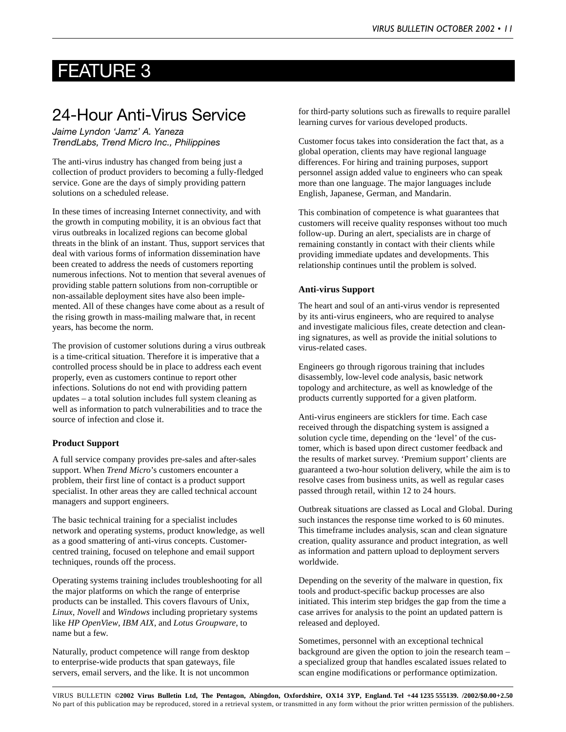### FEATURE 3

### 24-Hour Anti-Virus Service

*Jaime Lyndon 'Jamz' A. Yaneza TrendLabs, Trend Micro Inc., Philippines*

The anti-virus industry has changed from being just a collection of product providers to becoming a fully-fledged service. Gone are the days of simply providing pattern solutions on a scheduled release.

In these times of increasing Internet connectivity, and with the growth in computing mobility, it is an obvious fact that virus outbreaks in localized regions can become global threats in the blink of an instant. Thus, support services that deal with various forms of information dissemination have been created to address the needs of customers reporting numerous infections. Not to mention that several avenues of providing stable pattern solutions from non-corruptible or non-assailable deployment sites have also been implemented. All of these changes have come about as a result of the rising growth in mass-mailing malware that, in recent years, has become the norm.

The provision of customer solutions during a virus outbreak is a time-critical situation. Therefore it is imperative that a controlled process should be in place to address each event properly, even as customers continue to report other infections. Solutions do not end with providing pattern updates – a total solution includes full system cleaning as well as information to patch vulnerabilities and to trace the source of infection and close it.

#### **Product Support**

A full service company provides pre-sales and after-sales support. When *Trend Micro*'s customers encounter a problem, their first line of contact is a product support specialist. In other areas they are called technical account managers and support engineers.

The basic technical training for a specialist includes network and operating systems, product knowledge, as well as a good smattering of anti-virus concepts. Customercentred training, focused on telephone and email support techniques, rounds off the process.

Operating systems training includes troubleshooting for all the major platforms on which the range of enterprise products can be installed. This covers flavours of Unix, *Linux*, *Novell* and *Windows* including proprietary systems like *HP OpenView*, *IBM AIX*, and *Lotus Groupware*, to name but a few.

Naturally, product competence will range from desktop to enterprise-wide products that span gateways, file servers, email servers, and the like. It is not uncommon

for third-party solutions such as firewalls to require parallel learning curves for various developed products.

Customer focus takes into consideration the fact that, as a global operation, clients may have regional language differences. For hiring and training purposes, support personnel assign added value to engineers who can speak more than one language. The major languages include English, Japanese, German, and Mandarin.

This combination of competence is what guarantees that customers will receive quality responses without too much follow-up. During an alert, specialists are in charge of remaining constantly in contact with their clients while providing immediate updates and developments. This relationship continues until the problem is solved.

#### **Anti-virus Support**

The heart and soul of an anti-virus vendor is represented by its anti-virus engineers, who are required to analyse and investigate malicious files, create detection and cleaning signatures, as well as provide the initial solutions to virus-related cases.

Engineers go through rigorous training that includes disassembly, low-level code analysis, basic network topology and architecture, as well as knowledge of the products currently supported for a given platform.

Anti-virus engineers are sticklers for time. Each case received through the dispatching system is assigned a solution cycle time, depending on the 'level' of the customer, which is based upon direct customer feedback and the results of market survey. 'Premium support' clients are guaranteed a two-hour solution delivery, while the aim is to resolve cases from business units, as well as regular cases passed through retail, within 12 to 24 hours.

Outbreak situations are classed as Local and Global. During such instances the response time worked to is 60 minutes. This timeframe includes analysis, scan and clean signature creation, quality assurance and product integration, as well as information and pattern upload to deployment servers worldwide.

Depending on the severity of the malware in question, fix tools and product-specific backup processes are also initiated. This interim step bridges the gap from the time a case arrives for analysis to the point an updated pattern is released and deployed.

Sometimes, personnel with an exceptional technical background are given the option to join the research team – a specialized group that handles escalated issues related to scan engine modifications or performance optimization.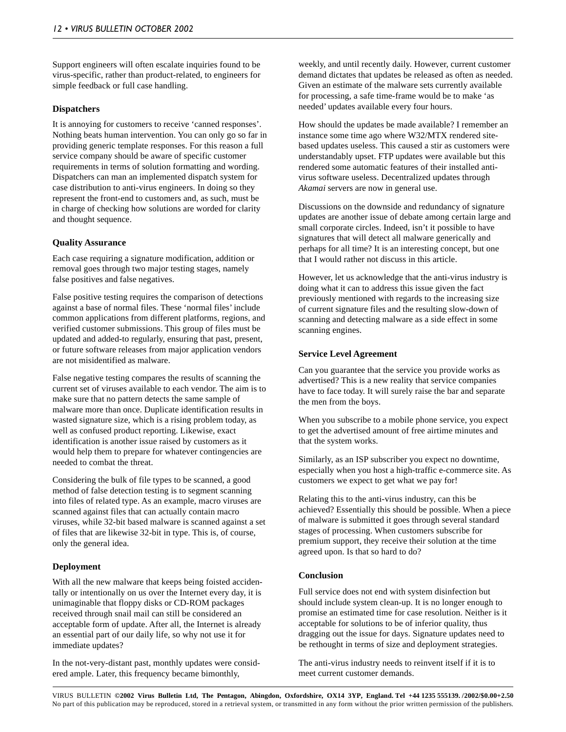Support engineers will often escalate inquiries found to be virus-specific, rather than product-related, to engineers for simple feedback or full case handling.

#### **Dispatchers**

It is annoying for customers to receive 'canned responses'. Nothing beats human intervention. You can only go so far in providing generic template responses. For this reason a full service company should be aware of specific customer requirements in terms of solution formatting and wording. Dispatchers can man an implemented dispatch system for case distribution to anti-virus engineers. In doing so they represent the front-end to customers and, as such, must be in charge of checking how solutions are worded for clarity and thought sequence.

#### **Quality Assurance**

Each case requiring a signature modification, addition or removal goes through two major testing stages, namely false positives and false negatives.

False positive testing requires the comparison of detections against a base of normal files. These 'normal files' include common applications from different platforms, regions, and verified customer submissions. This group of files must be updated and added-to regularly, ensuring that past, present, or future software releases from major application vendors are not misidentified as malware.

False negative testing compares the results of scanning the current set of viruses available to each vendor. The aim is to make sure that no pattern detects the same sample of malware more than once. Duplicate identification results in wasted signature size, which is a rising problem today, as well as confused product reporting. Likewise, exact identification is another issue raised by customers as it would help them to prepare for whatever contingencies are needed to combat the threat.

Considering the bulk of file types to be scanned, a good method of false detection testing is to segment scanning into files of related type. As an example, macro viruses are scanned against files that can actually contain macro viruses, while 32-bit based malware is scanned against a set of files that are likewise 32-bit in type. This is, of course, only the general idea.

#### **Deployment**

With all the new malware that keeps being foisted accidentally or intentionally on us over the Internet every day, it is unimaginable that floppy disks or CD-ROM packages received through snail mail can still be considered an acceptable form of update. After all, the Internet is already an essential part of our daily life, so why not use it for immediate updates?

In the not-very-distant past, monthly updates were considered ample. Later, this frequency became bimonthly,

weekly, and until recently daily. However, current customer demand dictates that updates be released as often as needed. Given an estimate of the malware sets currently available for processing, a safe time-frame would be to make 'as needed' updates available every four hours.

How should the updates be made available? I remember an instance some time ago where W32/MTX rendered sitebased updates useless. This caused a stir as customers were understandably upset. FTP updates were available but this rendered some automatic features of their installed antivirus software useless. Decentralized updates through *Akamai* servers are now in general use.

Discussions on the downside and redundancy of signature updates are another issue of debate among certain large and small corporate circles. Indeed, isn't it possible to have signatures that will detect all malware generically and perhaps for all time? It is an interesting concept, but one that I would rather not discuss in this article.

However, let us acknowledge that the anti-virus industry is doing what it can to address this issue given the fact previously mentioned with regards to the increasing size of current signature files and the resulting slow-down of scanning and detecting malware as a side effect in some scanning engines.

#### **Service Level Agreement**

Can you guarantee that the service you provide works as advertised? This is a new reality that service companies have to face today. It will surely raise the bar and separate the men from the boys.

When you subscribe to a mobile phone service, you expect to get the advertised amount of free airtime minutes and that the system works.

Similarly, as an ISP subscriber you expect no downtime, especially when you host a high-traffic e-commerce site. As customers we expect to get what we pay for!

Relating this to the anti-virus industry, can this be achieved? Essentially this should be possible. When a piece of malware is submitted it goes through several standard stages of processing. When customers subscribe for premium support, they receive their solution at the time agreed upon. Is that so hard to do?

#### **Conclusion**

Full service does not end with system disinfection but should include system clean-up. It is no longer enough to promise an estimated time for case resolution. Neither is it acceptable for solutions to be of inferior quality, thus dragging out the issue for days. Signature updates need to be rethought in terms of size and deployment strategies.

The anti-virus industry needs to reinvent itself if it is to meet current customer demands.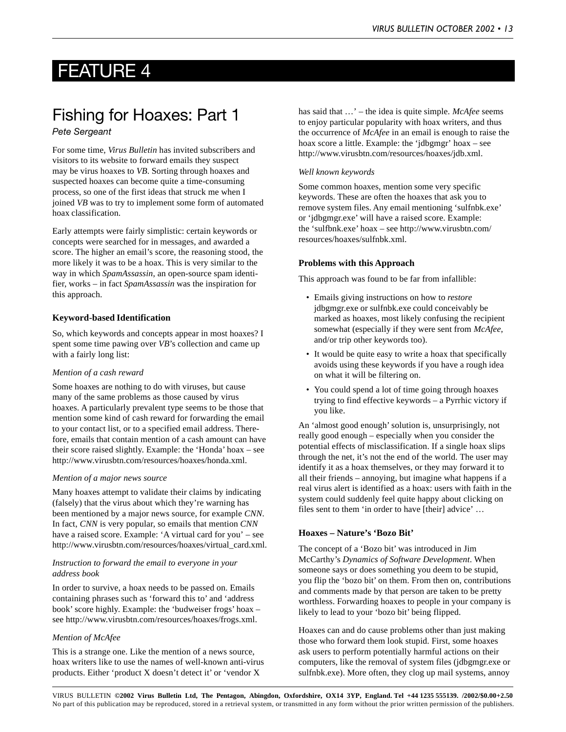### FEATURE 4

### Fishing for Hoaxes: Part 1

#### *Pete Sergeant*

For some time, *Virus Bulletin* has invited subscribers and visitors to its website to forward emails they suspect may be virus hoaxes to *VB*. Sorting through hoaxes and suspected hoaxes can become quite a time-consuming process, so one of the first ideas that struck me when I joined *VB* was to try to implement some form of automated hoax classification.

Early attempts were fairly simplistic: certain keywords or concepts were searched for in messages, and awarded a score. The higher an email's score, the reasoning stood, the more likely it was to be a hoax. This is very similar to the way in which *SpamAssassin*, an open-source spam identifier, works – in fact *SpamAssassin* was the inspiration for this approach.

#### **Keyword-based Identification**

So, which keywords and concepts appear in most hoaxes? I spent some time pawing over *VB*'s collection and came up with a fairly long list:

#### *Mention of a cash reward*

Some hoaxes are nothing to do with viruses, but cause many of the same problems as those caused by virus hoaxes. A particularly prevalent type seems to be those that mention some kind of cash reward for forwarding the email to your contact list, or to a specified email address. Therefore, emails that contain mention of a cash amount can have their score raised slightly. Example: the 'Honda' hoax – see http://www.virusbtn.com/resources/hoaxes/honda.xml.

#### *Mention of a major news source*

Many hoaxes attempt to validate their claims by indicating (falsely) that the virus about which they're warning has been mentioned by a major news source, for example *CNN*. In fact, *CNN* is very popular, so emails that mention *CNN* have a raised score. Example: 'A virtual card for you' – see http://www.virusbtn.com/resources/hoaxes/virtual\_card.xml.

#### *Instruction to forward the email to everyone in your address book*

In order to survive, a hoax needs to be passed on. Emails containing phrases such as 'forward this to' and 'address book' score highly. Example: the 'budweiser frogs' hoax – see http://www.virusbtn.com/resources/hoaxes/frogs.xml.

#### *Mention of McAfee*

This is a strange one. Like the mention of a news source, hoax writers like to use the names of well-known anti-virus products. Either 'product X doesn't detect it' or 'vendor X

has said that …' – the idea is quite simple. *McAfee* seems to enjoy particular popularity with hoax writers, and thus the occurrence of *McAfee* in an email is enough to raise the hoax score a little. Example: the 'jdbgmgr' hoax – see http://www.virusbtn.com/resources/hoaxes/jdb.xml.

#### *Well known keywords*

Some common hoaxes, mention some very specific keywords. These are often the hoaxes that ask you to remove system files. Any email mentioning 'sulfnbk.exe' or 'jdbgmgr.exe' will have a raised score. Example: the 'sulfbnk.exe' hoax – see http://www.virusbtn.com/ resources/hoaxes/sulfnbk.xml.

#### **Problems with this Approach**

This approach was found to be far from infallible:

- Emails giving instructions on how to *restore* jdbgmgr.exe or sulfnbk.exe could conceivably be marked as hoaxes, most likely confusing the recipient somewhat (especially if they were sent from *McAfee*, and/or trip other keywords too).
- It would be quite easy to write a hoax that specifically avoids using these keywords if you have a rough idea on what it will be filtering on.
- You could spend a lot of time going through hoaxes trying to find effective keywords – a Pyrrhic victory if you like.

An 'almost good enough' solution is, unsurprisingly, not really good enough – especially when you consider the potential effects of misclassification. If a single hoax slips through the net, it's not the end of the world. The user may identify it as a hoax themselves, or they may forward it to all their friends – annoying, but imagine what happens if a real virus alert is identified as a hoax: users with faith in the system could suddenly feel quite happy about clicking on files sent to them 'in order to have [their] advice' …

#### **Hoaxes – Nature's 'Bozo Bit'**

The concept of a 'Bozo bit' was introduced in Jim McCarthy's *Dynamics of Software Development*. When someone says or does something you deem to be stupid, you flip the 'bozo bit' on them. From then on, contributions and comments made by that person are taken to be pretty worthless. Forwarding hoaxes to people in your company is likely to lead to your 'bozo bit' being flipped.

Hoaxes can and do cause problems other than just making those who forward them look stupid. First, some hoaxes ask users to perform potentially harmful actions on their computers, like the removal of system files (jdbgmgr.exe or sulfnbk.exe). More often, they clog up mail systems, annoy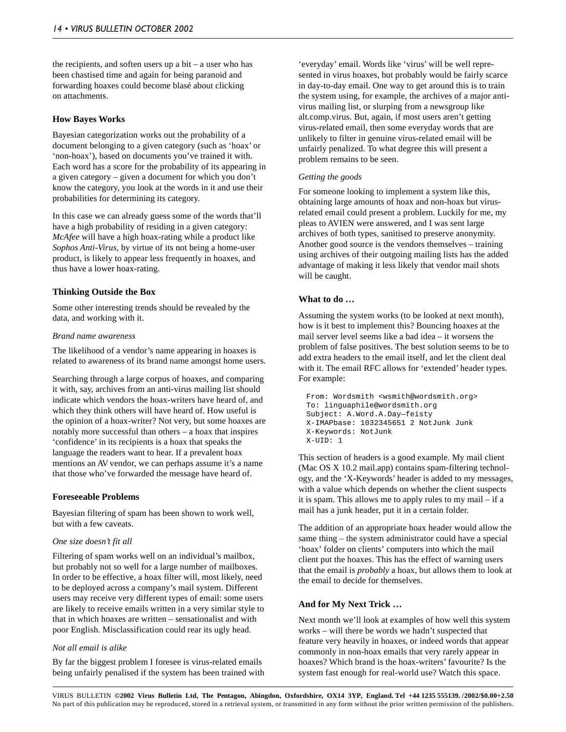the recipients, and soften users up a bit – a user who has been chastised time and again for being paranoid and forwarding hoaxes could become blasé about clicking on attachments.

#### **How Bayes Works**

Bayesian categorization works out the probability of a document belonging to a given category (such as 'hoax' or 'non-hoax'), based on documents you've trained it with. Each word has a score for the probability of its appearing in a given category – given a document for which you don't know the category, you look at the words in it and use their probabilities for determining its category.

In this case we can already guess some of the words that'll have a high probability of residing in a given category: *McAfee* will have a high hoax-rating while a product like *Sophos Anti-Virus*, by virtue of its not being a home-user product, is likely to appear less frequently in hoaxes, and thus have a lower hoax-rating.

#### **Thinking Outside the Box**

Some other interesting trends should be revealed by the data, and working with it.

#### *Brand name awareness*

The likelihood of a vendor's name appearing in hoaxes is related to awareness of its brand name amongst home users.

Searching through a large corpus of hoaxes, and comparing it with, say, archives from an anti-virus mailing list should indicate which vendors the hoax-writers have heard of, and which they think others will have heard of. How useful is the opinion of a hoax-writer? Not very, but some hoaxes are notably more successful than others – a hoax that inspires 'confidence' in its recipients is a hoax that speaks the language the readers want to hear. If a prevalent hoax mentions an AV vendor, we can perhaps assume it's a name that those who've forwarded the message have heard of.

#### **Foreseeable Problems**

Bayesian filtering of spam has been shown to work well, but with a few caveats.

#### *One size doesn't fit all*

Filtering of spam works well on an individual's mailbox, but probably not so well for a large number of mailboxes. In order to be effective, a hoax filter will, most likely, need to be deployed across a company's mail system. Different users may receive very different types of email: some users are likely to receive emails written in a very similar style to that in which hoaxes are written – sensationalist and with poor English. Misclassification could rear its ugly head.

#### *Not all email is alike*

By far the biggest problem I foresee is virus-related emails being unfairly penalised if the system has been trained with

'everyday' email. Words like 'virus' will be well represented in virus hoaxes, but probably would be fairly scarce in day-to-day email. One way to get around this is to train the system using, for example, the archives of a major antivirus mailing list, or slurping from a newsgroup like alt.comp.virus. But, again, if most users aren't getting virus-related email, then some everyday words that are unlikely to filter in genuine virus-related email will be unfairly penalized. To what degree this will present a problem remains to be seen.

#### *Getting the goods*

For someone looking to implement a system like this, obtaining large amounts of hoax and non-hoax but virusrelated email could present a problem. Luckily for me, my pleas to AVIEN were answered, and I was sent large archives of both types, sanitised to preserve anonymity. Another good source is the vendors themselves – training using archives of their outgoing mailing lists has the added advantage of making it less likely that vendor mail shots will be caught.

#### **What to do …**

Assuming the system works (to be looked at next month), how is it best to implement this? Bouncing hoaxes at the mail server level seems like a bad idea – it worsens the problem of false positives. The best solution seems to be to add extra headers to the email itself, and let the client deal with it. The email RFC allows for 'extended' header types. For example:

```
From: Wordsmith <wsmith@wordsmith.org>
To: linguaphile@wordsmith.org
Subject: A.Word.A.Day—feisty
X-IMAPbase: 1032345651 2 NotJunk Junk
X-Keywords: NotJunk
X-UID: 1
```
This section of headers is a good example. My mail client (Mac OS X 10.2 mail.app) contains spam-filtering technology, and the 'X-Keywords' header is added to my messages, with a value which depends on whether the client suspects it is spam. This allows me to apply rules to my mail – if a mail has a junk header, put it in a certain folder.

The addition of an appropriate hoax header would allow the same thing – the system administrator could have a special 'hoax' folder on clients' computers into which the mail client put the hoaxes. This has the effect of warning users that the email is *probably* a hoax, but allows them to look at the email to decide for themselves.

#### **And for My Next Trick …**

Next month we'll look at examples of how well this system works – will there be words we hadn't suspected that feature very heavily in hoaxes, or indeed words that appear commonly in non-hoax emails that very rarely appear in hoaxes? Which brand is the hoax-writers' favourite? Is the system fast enough for real-world use? Watch this space.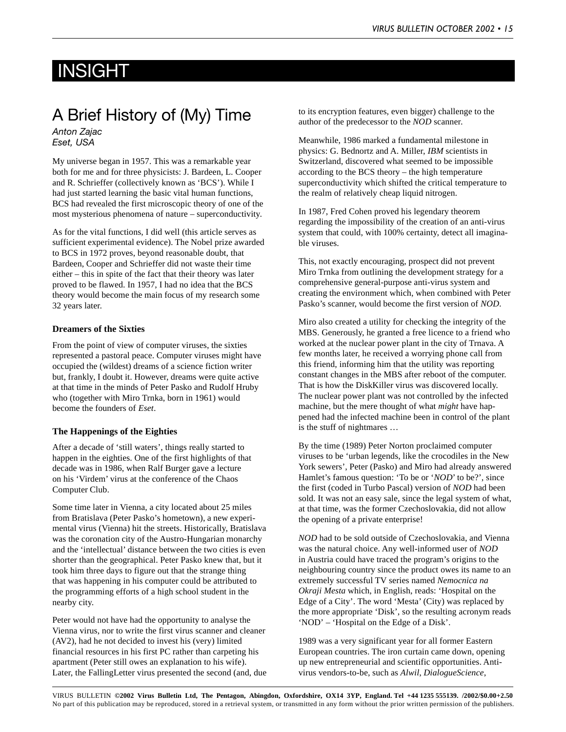### INSIGHT

# A Brief History of (My) Time

*Anton Zajac Eset, USA*

My universe began in 1957. This was a remarkable year both for me and for three physicists: J. Bardeen, L. Cooper and R. Schrieffer (collectively known as 'BCS'). While I had just started learning the basic vital human functions, BCS had revealed the first microscopic theory of one of the most mysterious phenomena of nature – superconductivity.

As for the vital functions, I did well (this article serves as sufficient experimental evidence). The Nobel prize awarded to BCS in 1972 proves, beyond reasonable doubt, that Bardeen, Cooper and Schrieffer did not waste their time either – this in spite of the fact that their theory was later proved to be flawed. In 1957, I had no idea that the BCS theory would become the main focus of my research some 32 years later.

#### **Dreamers of the Sixties**

From the point of view of computer viruses, the sixties represented a pastoral peace. Computer viruses might have occupied the (wildest) dreams of a science fiction writer but, frankly, I doubt it. However, dreams were quite active at that time in the minds of Peter Pasko and Rudolf Hruby who (together with Miro Trnka, born in 1961) would become the founders of *Eset*.

#### **The Happenings of the Eighties**

After a decade of 'still waters', things really started to happen in the eighties. One of the first highlights of that decade was in 1986, when Ralf Burger gave a lecture on his 'Virdem' virus at the conference of the Chaos Computer Club.

Some time later in Vienna, a city located about 25 miles from Bratislava (Peter Pasko's hometown), a new experimental virus (Vienna) hit the streets. Historically, Bratislava was the coronation city of the Austro-Hungarian monarchy and the 'intellectual' distance between the two cities is even shorter than the geographical. Peter Pasko knew that, but it took him three days to figure out that the strange thing that was happening in his computer could be attributed to the programming efforts of a high school student in the nearby city.

Peter would not have had the opportunity to analyse the Vienna virus, nor to write the first virus scanner and cleaner (AV2), had he not decided to invest his (very) limited financial resources in his first PC rather than carpeting his apartment (Peter still owes an explanation to his wife). Later, the FallingLetter virus presented the second (and, due to its encryption features, even bigger) challenge to the author of the predecessor to the *NOD* scanner.

Meanwhile, 1986 marked a fundamental milestone in physics: G. Bednortz and A. Miller, *IBM* scientists in Switzerland, discovered what seemed to be impossible according to the BCS theory – the high temperature superconductivity which shifted the critical temperature to the realm of relatively cheap liquid nitrogen.

In 1987, Fred Cohen proved his legendary theorem regarding the impossibility of the creation of an anti-virus system that could, with 100% certainty, detect all imaginable viruses.

This, not exactly encouraging, prospect did not prevent Miro Trnka from outlining the development strategy for a comprehensive general-purpose anti-virus system and creating the environment which, when combined with Peter Pasko's scanner, would become the first version of *NOD*.

Miro also created a utility for checking the integrity of the MBS. Generously, he granted a free licence to a friend who worked at the nuclear power plant in the city of Trnava. A few months later, he received a worrying phone call from this friend, informing him that the utility was reporting constant changes in the MBS after reboot of the computer. That is how the DiskKiller virus was discovered locally. The nuclear power plant was not controlled by the infected machine, but the mere thought of what *might* have happened had the infected machine been in control of the plant is the stuff of nightmares …

By the time (1989) Peter Norton proclaimed computer viruses to be 'urban legends, like the crocodiles in the New York sewers', Peter (Pasko) and Miro had already answered Hamlet's famous question: 'To be or '*NOD*' to be?', since the first (coded in Turbo Pascal) version of *NOD* had been sold. It was not an easy sale, since the legal system of what, at that time, was the former Czechoslovakia, did not allow the opening of a private enterprise!

*NOD* had to be sold outside of Czechoslovakia, and Vienna was the natural choice. Any well-informed user of *NOD* in Austria could have traced the program's origins to the neighbouring country since the product owes its name to an extremely successful TV series named *Nemocnica na Okraji Mesta* which, in English, reads: 'Hospital on the Edge of a City'. The word 'Mesta' (City) was replaced by the more appropriate 'Disk', so the resulting acronym reads 'NOD' – 'Hospital on the Edge of a Disk'.

1989 was a very significant year for all former Eastern European countries. The iron curtain came down, opening up new entrepreneurial and scientific opportunities. Antivirus vendors-to-be, such as *Alwil*, *DialogueScience*,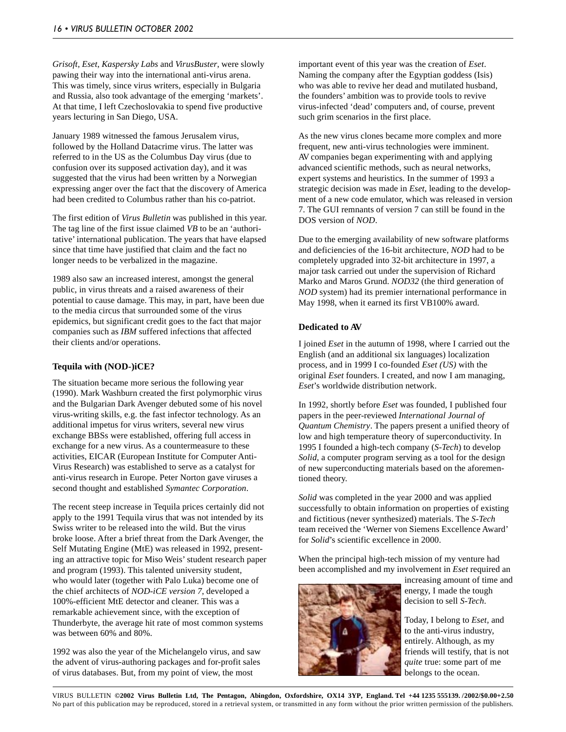*Grisoft*, *Eset*, *Kaspersky Labs* and *VirusBuster*, were slowly pawing their way into the international anti-virus arena. This was timely, since virus writers, especially in Bulgaria and Russia, also took advantage of the emerging 'markets'. At that time, I left Czechoslovakia to spend five productive years lecturing in San Diego, USA.

January 1989 witnessed the famous Jerusalem virus, followed by the Holland Datacrime virus. The latter was referred to in the US as the Columbus Day virus (due to confusion over its supposed activation day), and it was suggested that the virus had been written by a Norwegian expressing anger over the fact that the discovery of America had been credited to Columbus rather than his co-patriot.

The first edition of *Virus Bulletin* was published in this year. The tag line of the first issue claimed *VB* to be an 'authoritative' international publication. The years that have elapsed since that time have justified that claim and the fact no longer needs to be verbalized in the magazine.

1989 also saw an increased interest, amongst the general public, in virus threats and a raised awareness of their potential to cause damage. This may, in part, have been due to the media circus that surrounded some of the virus epidemics, but significant credit goes to the fact that major companies such as *IBM* suffered infections that affected their clients and/or operations.

#### **Tequila with (NOD-)iCE?**

The situation became more serious the following year (1990). Mark Washburn created the first polymorphic virus and the Bulgarian Dark Avenger debuted some of his novel virus-writing skills, e.g. the fast infector technology. As an additional impetus for virus writers, several new virus exchange BBSs were established, offering full access in exchange for a new virus. As a countermeasure to these activities, EICAR (European Institute for Computer Anti-Virus Research) was established to serve as a catalyst for anti-virus research in Europe. Peter Norton gave viruses a second thought and established *Symantec Corporation*.

The recent steep increase in Tequila prices certainly did not apply to the 1991 Tequila virus that was not intended by its Swiss writer to be released into the wild. But the virus broke loose. After a brief threat from the Dark Avenger, the Self Mutating Engine (MtE) was released in 1992, presenting an attractive topic for Miso Weis' student research paper and program (1993). This talented university student, who would later (together with Palo Luka) become one of the chief architects of *NOD-iCE version 7*, developed a 100%-efficient MtE detector and cleaner. This was a remarkable achievement since, with the exception of Thunderbyte, the average hit rate of most common systems was between 60% and 80%.

1992 was also the year of the Michelangelo virus, and saw the advent of virus-authoring packages and for-profit sales of virus databases. But, from my point of view, the most

important event of this year was the creation of *Eset*. Naming the company after the Egyptian goddess (Isis) who was able to revive her dead and mutilated husband, the founders' ambition was to provide tools to revive virus-infected 'dead' computers and, of course, prevent such grim scenarios in the first place.

As the new virus clones became more complex and more frequent, new anti-virus technologies were imminent. AV companies began experimenting with and applying advanced scientific methods, such as neural networks, expert systems and heuristics. In the summer of 1993 a strategic decision was made in *Eset*, leading to the development of a new code emulator, which was released in version 7. The GUI remnants of version 7 can still be found in the DOS version of *NOD*.

Due to the emerging availability of new software platforms and deficiencies of the 16-bit architecture, *NOD* had to be completely upgraded into 32-bit architecture in 1997, a major task carried out under the supervision of Richard Marko and Maros Grund. *NOD32* (the third generation of *NOD* system) had its premier international performance in May 1998, when it earned its first VB100% award.

#### **Dedicated to AV**

I joined *Eset* in the autumn of 1998, where I carried out the English (and an additional six languages) localization process, and in 1999 I co-founded *Eset (US)* with the original *Eset* founders. I created, and now I am managing, *Eset*'s worldwide distribution network.

In 1992, shortly before *Eset* was founded, I published four papers in the peer-reviewed *International Journal of Quantum Chemistry*. The papers present a unified theory of low and high temperature theory of superconductivity. In 1995 I founded a high-tech company (*S-Tech*) to develop *Solid*, a computer program serving as a tool for the design of new superconducting materials based on the aforementioned theory.

*Solid* was completed in the year 2000 and was applied successfully to obtain information on properties of existing and fictitious (never synthesized) materials. The *S-Tech* team received the 'Werner von Siemens Excellence Award' for *Solid*'s scientific excellence in 2000.

When the principal high-tech mission of my venture had been accomplished and my involvement in *Eset* required an



increasing amount of time and energy, I made the tough decision to sell *S-Tech*.

Today, I belong to *Eset,* and to the anti-virus industry, entirely. Although, as my friends will testify, that is not *quite* true: some part of me belongs to the ocean.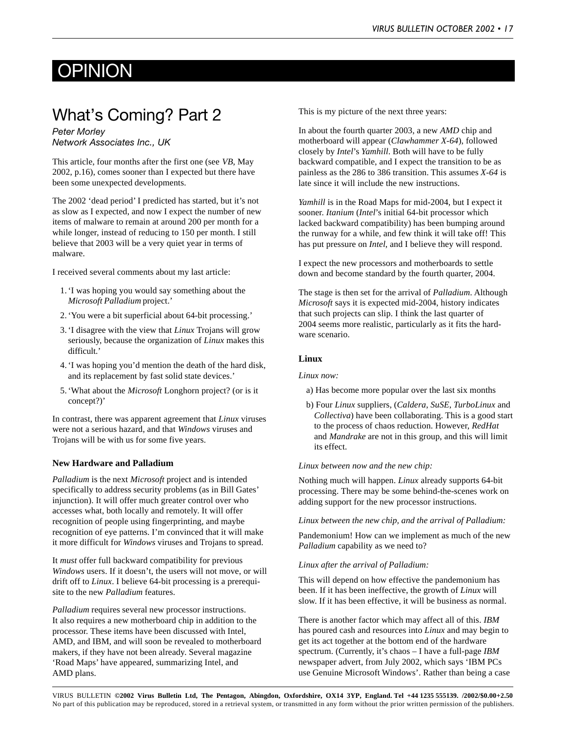# **OPINION**

### What's Coming? Part 2

*Peter Morley Network Associates Inc., UK*

This article, four months after the first one (see *VB*, May 2002, p.16), comes sooner than I expected but there have been some unexpected developments.

The 2002 'dead period' I predicted has started, but it's not as slow as I expected, and now I expect the number of new items of malware to remain at around 200 per month for a while longer, instead of reducing to 150 per month. I still believe that 2003 will be a very quiet year in terms of malware.

I received several comments about my last article:

- 1. 'I was hoping you would say something about the *Microsoft Palladium* project.'
- 2. 'You were a bit superficial about 64-bit processing.'
- 3. 'I disagree with the view that *Linux* Trojans will grow seriously, because the organization of *Linux* makes this difficult.'
- 4. 'I was hoping you'd mention the death of the hard disk, and its replacement by fast solid state devices.'
- 5. 'What about the *Microsoft* Longhorn project? (or is it concept?)'

In contrast, there was apparent agreement that *Linux* viruses were not a serious hazard, and that *Windows* viruses and Trojans will be with us for some five years.

#### **New Hardware and Palladium**

*Palladium* is the next *Microsoft* project and is intended specifically to address security problems (as in Bill Gates' injunction). It will offer much greater control over who accesses what, both locally and remotely. It will offer recognition of people using fingerprinting, and maybe recognition of eye patterns. I'm convinced that it will make it more difficult for *Windows* viruses and Trojans to spread.

It *must* offer full backward compatibility for previous *Windows* users. If it doesn't, the users will not move, or will drift off to *Linux*. I believe 64-bit processing is a prerequisite to the new *Palladium* features.

*Palladium* requires several new processor instructions. It also requires a new motherboard chip in addition to the processor. These items have been discussed with Intel, AMD, and IBM, and will soon be revealed to motherboard makers, if they have not been already. Several magazine 'Road Maps' have appeared, summarizing Intel, and AMD plans.

This is my picture of the next three years:

In about the fourth quarter 2003, a new *AMD* chip and motherboard will appear (*Clawhammer X-64*), followed closely by *Intel*'s *Yamhill*. Both will have to be fully backward compatible, and I expect the transition to be as painless as the 286 to 386 transition. This assumes *X-64* is late since it will include the new instructions.

*Yamhill* is in the Road Maps for mid-2004, but I expect it sooner. *Itanium* (*Intel*'s initial 64-bit processor which lacked backward compatibility) has been bumping around the runway for a while, and few think it will take off! This has put pressure on *Intel*, and I believe they will respond.

I expect the new processors and motherboards to settle down and become standard by the fourth quarter, 2004.

The stage is then set for the arrival of *Palladium*. Although *Microsoft* says it is expected mid-2004, history indicates that such projects can slip. I think the last quarter of 2004 seems more realistic, particularly as it fits the hardware scenario.

#### **Linux**

*Linux now:*

a) Has become more popular over the last six months

b) Four *Linux* suppliers, (*Caldera*, *SuSE*, *TurboLinux* and *Collectiva*) have been collaborating. This is a good start to the process of chaos reduction. However, *RedHat* and *Mandrake* are not in this group, and this will limit its effect.

#### *Linux between now and the new chip:*

Nothing much will happen. *Linux* already supports 64-bit processing. There may be some behind-the-scenes work on adding support for the new processor instructions.

*Linux between the new chip, and the arrival of Palladium:*

Pandemonium! How can we implement as much of the new *Palladium* capability as we need to?

#### *Linux after the arrival of Palladium:*

This will depend on how effective the pandemonium has been. If it has been ineffective, the growth of *Linux* will slow. If it has been effective, it will be business as normal.

There is another factor which may affect all of this. *IBM* has poured cash and resources into *Linux* and may begin to get its act together at the bottom end of the hardware spectrum. (Currently, it's chaos – I have a full-page *IBM* newspaper advert, from July 2002, which says 'IBM PCs use Genuine Microsoft Windows'. Rather than being a case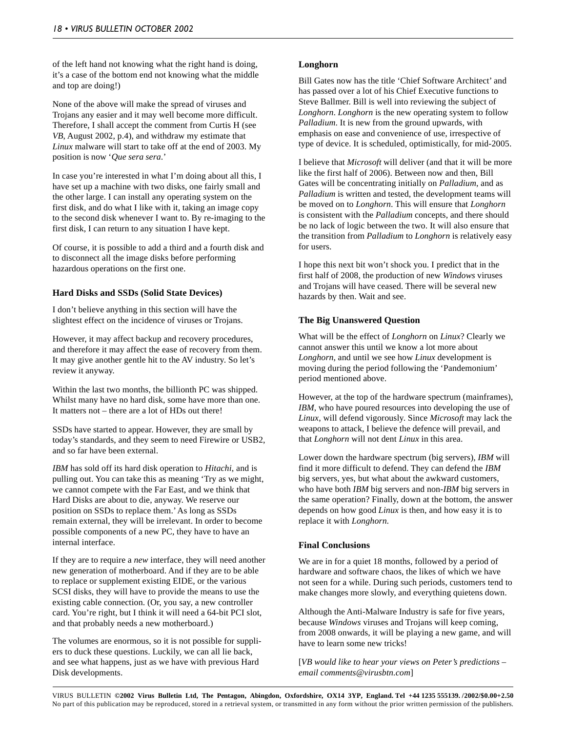of the left hand not knowing what the right hand is doing, it's a case of the bottom end not knowing what the middle and top are doing!)

None of the above will make the spread of viruses and Trojans any easier and it may well become more difficult. Therefore, I shall accept the comment from Curtis H (see *VB*, August 2002, p.4), and withdraw my estimate that *Linux* malware will start to take off at the end of 2003. My position is now '*Que sera sera*.'

In case you're interested in what I'm doing about all this, I have set up a machine with two disks, one fairly small and the other large. I can install any operating system on the first disk, and do what I like with it, taking an image copy to the second disk whenever I want to. By re-imaging to the first disk, I can return to any situation I have kept.

Of course, it is possible to add a third and a fourth disk and to disconnect all the image disks before performing hazardous operations on the first one.

#### **Hard Disks and SSDs (Solid State Devices)**

I don't believe anything in this section will have the slightest effect on the incidence of viruses or Trojans.

However, it may affect backup and recovery procedures, and therefore it may affect the ease of recovery from them. It may give another gentle hit to the AV industry. So let's review it anyway.

Within the last two months, the billionth PC was shipped. Whilst many have no hard disk, some have more than one. It matters not – there are a lot of HDs out there!

SSDs have started to appear. However, they are small by today's standards, and they seem to need Firewire or USB2, and so far have been external.

*IBM* has sold off its hard disk operation to *Hitachi*, and is pulling out. You can take this as meaning 'Try as we might, we cannot compete with the Far East, and we think that Hard Disks are about to die, anyway. We reserve our position on SSDs to replace them.' As long as SSDs remain external, they will be irrelevant. In order to become possible components of a new PC, they have to have an internal interface.

If they are to require a *new* interface, they will need another new generation of motherboard. And if they are to be able to replace or supplement existing EIDE, or the various SCSI disks, they will have to provide the means to use the existing cable connection. (Or, you say, a new controller card. You're right, but I think it will need a 64-bit PCI slot, and that probably needs a new motherboard.)

The volumes are enormous, so it is not possible for suppliers to duck these questions. Luckily, we can all lie back, and see what happens, just as we have with previous Hard Disk developments.

#### **Longhorn**

Bill Gates now has the title 'Chief Software Architect' and has passed over a lot of his Chief Executive functions to Steve Ballmer. Bill is well into reviewing the subject of *Longhorn*. *Longhorn* is the new operating system to follow *Palladium*. It is new from the ground upwards, with emphasis on ease and convenience of use, irrespective of type of device. It is scheduled, optimistically, for mid-2005.

I believe that *Microsoft* will deliver (and that it will be more like the first half of 2006). Between now and then, Bill Gates will be concentrating initially on *Palladium*, and as *Palladium* is written and tested, the development teams will be moved on to *Longhorn*. This will ensure that *Longhorn* is consistent with the *Palladium* concepts, and there should be no lack of logic between the two. It will also ensure that the transition from *Palladium* to *Longhorn* is relatively easy for users.

I hope this next bit won't shock you. I predict that in the first half of 2008, the production of new *Windows* viruses and Trojans will have ceased. There will be several new hazards by then. Wait and see.

#### **The Big Unanswered Question**

What will be the effect of *Longhorn* on *Linux*? Clearly we cannot answer this until we know a lot more about *Longhorn*, and until we see how *Linux* development is moving during the period following the 'Pandemonium' period mentioned above.

However, at the top of the hardware spectrum (mainframes), *IBM*, who have poured resources into developing the use of *Linux*, will defend vigorously. Since *Microsoft* may lack the weapons to attack, I believe the defence will prevail, and that *Longhorn* will not dent *Linux* in this area.

Lower down the hardware spectrum (big servers), *IBM* will find it more difficult to defend. They can defend the *IBM* big servers, yes, but what about the awkward customers, who have both *IBM* big servers and non-*IBM* big servers in the same operation? Finally, down at the bottom, the answer depends on how good *Linux* is then, and how easy it is to replace it with *Longhorn*.

#### **Final Conclusions**

We are in for a quiet 18 months, followed by a period of hardware and software chaos, the likes of which we have not seen for a while. During such periods, customers tend to make changes more slowly, and everything quietens down.

Although the Anti-Malware Industry is safe for five years, because *Windows* viruses and Trojans will keep coming, from 2008 onwards, it will be playing a new game, and will have to learn some new tricks!

[*VB would like to hear your views on Peter's predictions – email comments@virusbtn.com*]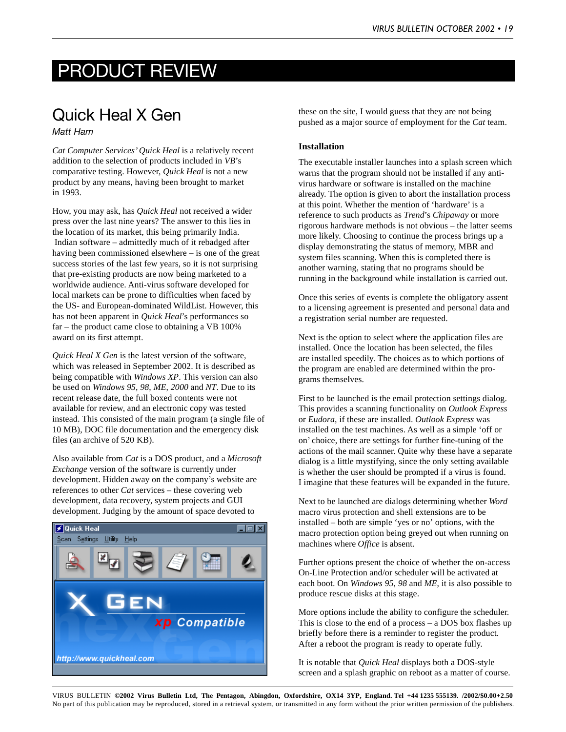### PRODUCT REVIEW

### Quick Heal X Gen

#### *Matt Ham*

*Cat Computer Services' Quick Heal* is a relatively recent addition to the selection of products included in *VB*'s comparative testing. However, *Quick Heal* is not a new product by any means, having been brought to market in 1993.

How, you may ask, has *Quick Heal* not received a wider press over the last nine years? The answer to this lies in the location of its market, this being primarily India. Indian software – admittedly much of it rebadged after having been commissioned elsewhere – is one of the great success stories of the last few years, so it is not surprising that pre-existing products are now being marketed to a worldwide audience. Anti-virus software developed for local markets can be prone to difficulties when faced by the US- and European-dominated WildList. However, this has not been apparent in *Quick Heal*'s performances so far – the product came close to obtaining a VB 100% award on its first attempt.

*Quick Heal X Gen* is the latest version of the software, which was released in September 2002. It is described as being compatible with *Windows XP*. This version can also be used on *Windows 95*, *98*, *ME*, *2000* and *NT*. Due to its recent release date, the full boxed contents were not available for review, and an electronic copy was tested instead. This consisted of the main program (a single file of 10 MB), DOC file documentation and the emergency disk files (an archive of 520 KB).

Also available from *Cat* is a DOS product, and a *Microsoft Exchange* version of the software is currently under development. Hidden away on the company's website are references to other *Cat* services – these covering web development, data recovery, system projects and GUI development. Judging by the amount of space devoted to



these on the site, I would guess that they are not being pushed as a major source of employment for the *Cat* team.

#### **Installation**

The executable installer launches into a splash screen which warns that the program should not be installed if any antivirus hardware or software is installed on the machine already. The option is given to abort the installation process at this point. Whether the mention of 'hardware' is a reference to such products as *Trend*'s *Chipaway* or more rigorous hardware methods is not obvious – the latter seems more likely. Choosing to continue the process brings up a display demonstrating the status of memory, MBR and system files scanning. When this is completed there is another warning, stating that no programs should be running in the background while installation is carried out.

Once this series of events is complete the obligatory assent to a licensing agreement is presented and personal data and a registration serial number are requested.

Next is the option to select where the application files are installed. Once the location has been selected, the files are installed speedily. The choices as to which portions of the program are enabled are determined within the programs themselves.

First to be launched is the email protection settings dialog. This provides a scanning functionality on *Outlook Express* or *Eudora*, if these are installed. *Outlook Express* was installed on the test machines. As well as a simple 'off or on' choice, there are settings for further fine-tuning of the actions of the mail scanner. Quite why these have a separate dialog is a little mystifying, since the only setting available is whether the user should be prompted if a virus is found. I imagine that these features will be expanded in the future.

Next to be launched are dialogs determining whether *Word* macro virus protection and shell extensions are to be installed – both are simple 'yes or no' options, with the macro protection option being greyed out when running on machines where *Office* is absent.

Further options present the choice of whether the on-access On-Line Protection and/or scheduler will be activated at each boot. On *Windows 95*, *98* and *ME*, it is also possible to produce rescue disks at this stage.

More options include the ability to configure the scheduler. This is close to the end of a process – a DOS box flashes up briefly before there is a reminder to register the product. After a reboot the program is ready to operate fully.

It is notable that *Quick Heal* displays both a DOS-style screen and a splash graphic on reboot as a matter of course.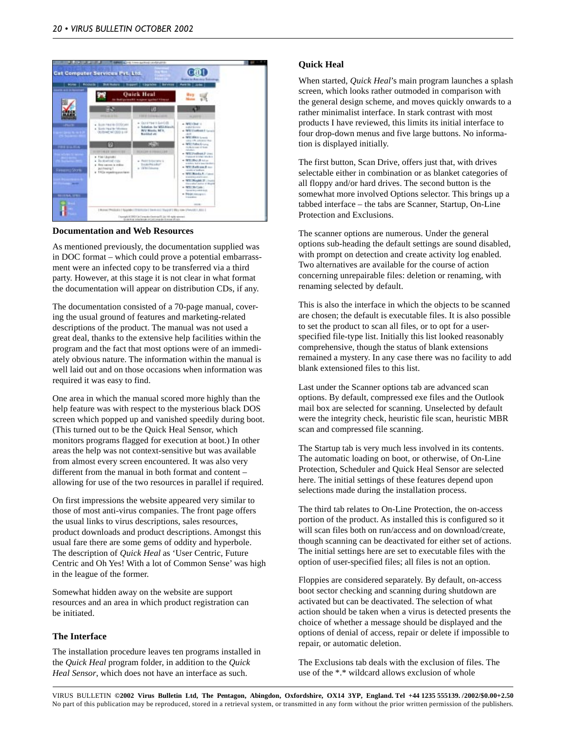

**Documentation and Web Resources**

As mentioned previously, the documentation supplied was in DOC format – which could prove a potential embarrassment were an infected copy to be transferred via a third party. However, at this stage it is not clear in what format the documentation will appear on distribution CDs, if any.

The documentation consisted of a 70-page manual, covering the usual ground of features and marketing-related descriptions of the product. The manual was not used a great deal, thanks to the extensive help facilities within the program and the fact that most options were of an immediately obvious nature. The information within the manual is well laid out and on those occasions when information was required it was easy to find.

One area in which the manual scored more highly than the help feature was with respect to the mysterious black DOS screen which popped up and vanished speedily during boot. (This turned out to be the Quick Heal Sensor, which monitors programs flagged for execution at boot.) In other areas the help was not context-sensitive but was available from almost every screen encountered. It was also very different from the manual in both format and content – allowing for use of the two resources in parallel if required.

On first impressions the website appeared very similar to those of most anti-virus companies. The front page offers the usual links to virus descriptions, sales resources, product downloads and product descriptions. Amongst this usual fare there are some gems of oddity and hyperbole. The description of *Quick Heal* as 'User Centric, Future Centric and Oh Yes! With a lot of Common Sense' was high in the league of the former.

Somewhat hidden away on the website are support resources and an area in which product registration can be initiated.

#### **The Interface**

The installation procedure leaves ten programs installed in the *Quick Heal* program folder, in addition to the *Quick Heal Sensor*, which does not have an interface as such.

#### **Quick Heal**

When started, *Quick Heal*'s main program launches a splash screen, which looks rather outmoded in comparison with the general design scheme, and moves quickly onwards to a rather minimalist interface. In stark contrast with most products I have reviewed, this limits its initial interface to four drop-down menus and five large buttons. No information is displayed initially.

The first button, Scan Drive, offers just that, with drives selectable either in combination or as blanket categories of all floppy and/or hard drives. The second button is the somewhat more involved Options selector. This brings up a tabbed interface – the tabs are Scanner, Startup, On-Line Protection and Exclusions.

The scanner options are numerous. Under the general options sub-heading the default settings are sound disabled, with prompt on detection and create activity log enabled. Two alternatives are available for the course of action concerning unrepairable files: deletion or renaming, with renaming selected by default.

This is also the interface in which the objects to be scanned are chosen; the default is executable files. It is also possible to set the product to scan all files, or to opt for a userspecified file-type list. Initially this list looked reasonably comprehensive, though the status of blank extensions remained a mystery. In any case there was no facility to add blank extensioned files to this list.

Last under the Scanner options tab are advanced scan options. By default, compressed exe files and the Outlook mail box are selected for scanning. Unselected by default were the integrity check, heuristic file scan, heuristic MBR scan and compressed file scanning.

The Startup tab is very much less involved in its contents. The automatic loading on boot, or otherwise, of On-Line Protection, Scheduler and Quick Heal Sensor are selected here. The initial settings of these features depend upon selections made during the installation process.

The third tab relates to On-Line Protection, the on-access portion of the product. As installed this is configured so it will scan files both on run/access and on download/create, though scanning can be deactivated for either set of actions. The initial settings here are set to executable files with the option of user-specified files; all files is not an option.

Floppies are considered separately. By default, on-access boot sector checking and scanning during shutdown are activated but can be deactivated. The selection of what action should be taken when a virus is detected presents the choice of whether a message should be displayed and the options of denial of access, repair or delete if impossible to repair, or automatic deletion.

The Exclusions tab deals with the exclusion of files. The use of the \*.\* wildcard allows exclusion of whole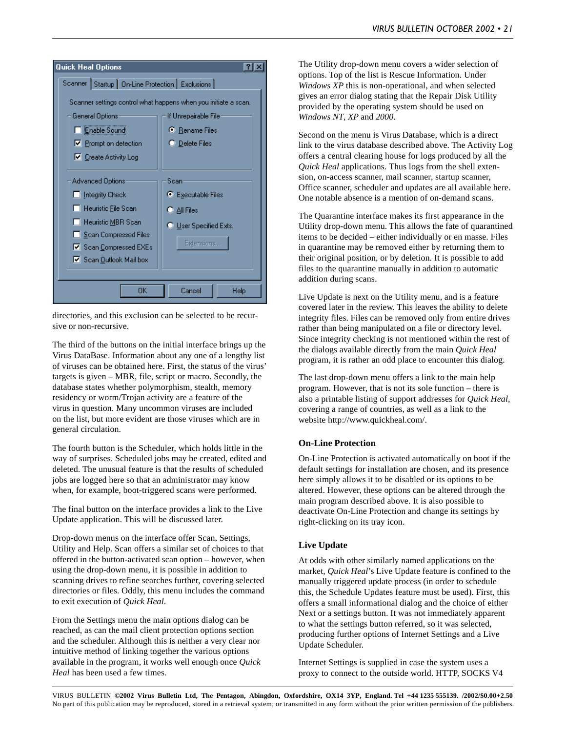

directories, and this exclusion can be selected to be recursive or non-recursive.

The third of the buttons on the initial interface brings up the Virus DataBase. Information about any one of a lengthy list of viruses can be obtained here. First, the status of the virus' targets is given – MBR, file, script or macro. Secondly, the database states whether polymorphism, stealth, memory residency or worm/Trojan activity are a feature of the virus in question. Many uncommon viruses are included on the list, but more evident are those viruses which are in general circulation.

The fourth button is the Scheduler, which holds little in the way of surprises. Scheduled jobs may be created, edited and deleted. The unusual feature is that the results of scheduled jobs are logged here so that an administrator may know when, for example, boot-triggered scans were performed.

The final button on the interface provides a link to the Live Update application. This will be discussed later.

Drop-down menus on the interface offer Scan, Settings, Utility and Help. Scan offers a similar set of choices to that offered in the button-activated scan option – however, when using the drop-down menu, it is possible in addition to scanning drives to refine searches further, covering selected directories or files. Oddly, this menu includes the command to exit execution of *Quick Heal*.

From the Settings menu the main options dialog can be reached, as can the mail client protection options section and the scheduler. Although this is neither a very clear nor intuitive method of linking together the various options available in the program, it works well enough once *Quick Heal* has been used a few times.

The Utility drop-down menu covers a wider selection of options. Top of the list is Rescue Information. Under *Windows XP* this is non-operational, and when selected gives an error dialog stating that the Repair Disk Utility provided by the operating system should be used on *Windows NT*, *XP* and *2000*.

Second on the menu is Virus Database, which is a direct link to the virus database described above. The Activity Log offers a central clearing house for logs produced by all the *Quick Heal* applications. Thus logs from the shell extension, on-access scanner, mail scanner, startup scanner, Office scanner, scheduler and updates are all available here. One notable absence is a mention of on-demand scans.

The Quarantine interface makes its first appearance in the Utility drop-down menu. This allows the fate of quarantined items to be decided – either individually or en masse. Files in quarantine may be removed either by returning them to their original position, or by deletion. It is possible to add files to the quarantine manually in addition to automatic addition during scans.

Live Update is next on the Utility menu, and is a feature covered later in the review. This leaves the ability to delete integrity files. Files can be removed only from entire drives rather than being manipulated on a file or directory level. Since integrity checking is not mentioned within the rest of the dialogs available directly from the main *Quick Heal* program, it is rather an odd place to encounter this dialog.

The last drop-down menu offers a link to the main help program. However, that is not its sole function – there is also a printable listing of support addresses for *Quick Heal*, covering a range of countries, as well as a link to the website http://www.quickheal.com/.

#### **On-Line Protection**

On-Line Protection is activated automatically on boot if the default settings for installation are chosen, and its presence here simply allows it to be disabled or its options to be altered. However, these options can be altered through the main program described above. It is also possible to deactivate On-Line Protection and change its settings by right-clicking on its tray icon.

#### **Live Update**

At odds with other similarly named applications on the market, *Quick Heal*'s Live Update feature is confined to the manually triggered update process (in order to schedule this, the Schedule Updates feature must be used). First, this offers a small informational dialog and the choice of either Next or a settings button. It was not immediately apparent to what the settings button referred, so it was selected, producing further options of Internet Settings and a Live Update Scheduler.

Internet Settings is supplied in case the system uses a proxy to connect to the outside world. HTTP, SOCKS V4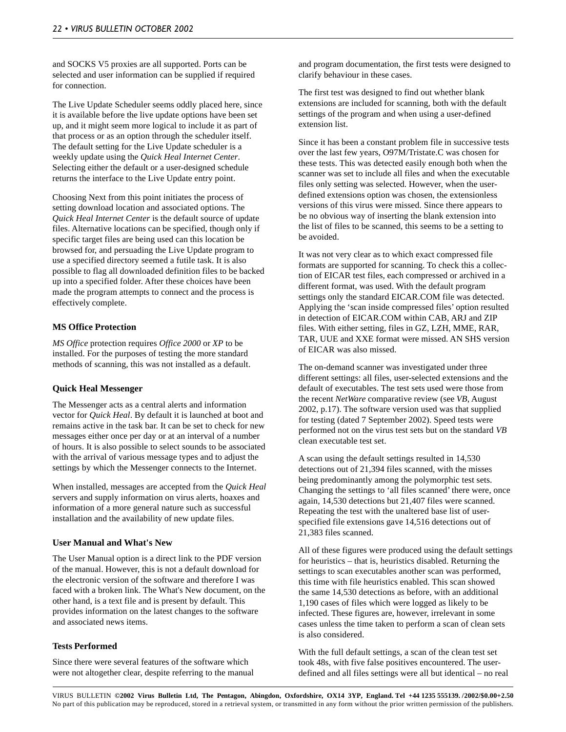and SOCKS V5 proxies are all supported. Ports can be selected and user information can be supplied if required for connection.

The Live Update Scheduler seems oddly placed here, since it is available before the live update options have been set up, and it might seem more logical to include it as part of that process or as an option through the scheduler itself. The default setting for the Live Update scheduler is a weekly update using the *Quick Heal Internet Center*. Selecting either the default or a user-designed schedule returns the interface to the Live Update entry point.

Choosing Next from this point initiates the process of setting download location and associated options. The *Quick Heal Internet Center* is the default source of update files. Alternative locations can be specified, though only if specific target files are being used can this location be browsed for, and persuading the Live Update program to use a specified directory seemed a futile task. It is also possible to flag all downloaded definition files to be backed up into a specified folder. After these choices have been made the program attempts to connect and the process is effectively complete.

#### **MS Office Protection**

*MS Office* protection requires *Office 2000* or *XP* to be installed. For the purposes of testing the more standard methods of scanning, this was not installed as a default.

#### **Quick Heal Messenger**

The Messenger acts as a central alerts and information vector for *Quick Heal*. By default it is launched at boot and remains active in the task bar. It can be set to check for new messages either once per day or at an interval of a number of hours. It is also possible to select sounds to be associated with the arrival of various message types and to adjust the settings by which the Messenger connects to the Internet.

When installed, messages are accepted from the *Quick Heal* servers and supply information on virus alerts, hoaxes and information of a more general nature such as successful installation and the availability of new update files.

#### **User Manual and What's New**

The User Manual option is a direct link to the PDF version of the manual. However, this is not a default download for the electronic version of the software and therefore I was faced with a broken link. The What's New document, on the other hand, is a text file and is present by default. This provides information on the latest changes to the software and associated news items.

#### **Tests Performed**

Since there were several features of the software which were not altogether clear, despite referring to the manual and program documentation, the first tests were designed to clarify behaviour in these cases.

The first test was designed to find out whether blank extensions are included for scanning, both with the default settings of the program and when using a user-defined extension list.

Since it has been a constant problem file in successive tests over the last few years, O97M/Tristate.C was chosen for these tests. This was detected easily enough both when the scanner was set to include all files and when the executable files only setting was selected. However, when the userdefined extensions option was chosen, the extensionless versions of this virus were missed. Since there appears to be no obvious way of inserting the blank extension into the list of files to be scanned, this seems to be a setting to be avoided.

It was not very clear as to which exact compressed file formats are supported for scanning. To check this a collection of EICAR test files, each compressed or archived in a different format, was used. With the default program settings only the standard EICAR.COM file was detected. Applying the 'scan inside compressed files' option resulted in detection of EICAR.COM within CAB, ARJ and ZIP files. With either setting, files in GZ, LZH, MME, RAR, TAR, UUE and XXE format were missed. AN SHS version of EICAR was also missed.

The on-demand scanner was investigated under three different settings: all files, user-selected extensions and the default of executables. The test sets used were those from the recent *NetWare* comparative review (see *VB*, August 2002, p.17). The software version used was that supplied for testing (dated 7 September 2002). Speed tests were performed not on the virus test sets but on the standard *VB* clean executable test set.

A scan using the default settings resulted in 14,530 detections out of 21,394 files scanned, with the misses being predominantly among the polymorphic test sets. Changing the settings to 'all files scanned' there were, once again, 14,530 detections but 21,407 files were scanned. Repeating the test with the unaltered base list of userspecified file extensions gave 14,516 detections out of 21,383 files scanned.

All of these figures were produced using the default settings for heuristics – that is, heuristics disabled. Returning the settings to scan executables another scan was performed, this time with file heuristics enabled. This scan showed the same 14,530 detections as before, with an additional 1,190 cases of files which were logged as likely to be infected. These figures are, however, irrelevant in some cases unless the time taken to perform a scan of clean sets is also considered.

With the full default settings, a scan of the clean test set took 48s, with five false positives encountered. The userdefined and all files settings were all but identical – no real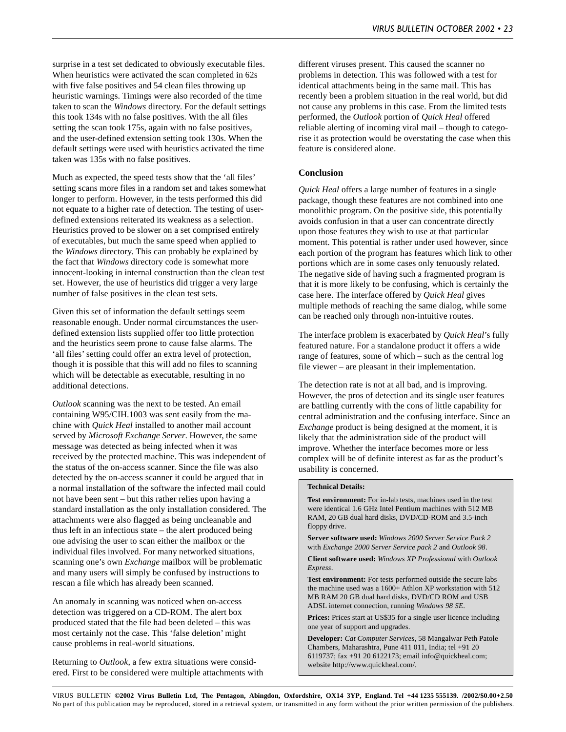surprise in a test set dedicated to obviously executable files. When heuristics were activated the scan completed in 62s with five false positives and 54 clean files throwing up heuristic warnings. Timings were also recorded of the time taken to scan the *Windows* directory. For the default settings this took 134s with no false positives. With the all files setting the scan took 175s, again with no false positives, and the user-defined extension setting took 130s. When the default settings were used with heuristics activated the time taken was 135s with no false positives.

Much as expected, the speed tests show that the 'all files' setting scans more files in a random set and takes somewhat longer to perform. However, in the tests performed this did not equate to a higher rate of detection. The testing of userdefined extensions reiterated its weakness as a selection. Heuristics proved to be slower on a set comprised entirely of executables, but much the same speed when applied to the *Windows* directory. This can probably be explained by the fact that *Windows* directory code is somewhat more innocent-looking in internal construction than the clean test set. However, the use of heuristics did trigger a very large number of false positives in the clean test sets.

Given this set of information the default settings seem reasonable enough. Under normal circumstances the userdefined extension lists supplied offer too little protection and the heuristics seem prone to cause false alarms. The 'all files' setting could offer an extra level of protection, though it is possible that this will add no files to scanning which will be detectable as executable, resulting in no additional detections.

*Outlook* scanning was the next to be tested. An email containing W95/CIH.1003 was sent easily from the machine with *Quick Heal* installed to another mail account served by *Microsoft Exchange Server*. However, the same message was detected as being infected when it was received by the protected machine. This was independent of the status of the on-access scanner. Since the file was also detected by the on-access scanner it could be argued that in a normal installation of the software the infected mail could not have been sent – but this rather relies upon having a standard installation as the only installation considered. The attachments were also flagged as being uncleanable and thus left in an infectious state – the alert produced being one advising the user to scan either the mailbox or the individual files involved. For many networked situations, scanning one's own *Exchange* mailbox will be problematic and many users will simply be confused by instructions to rescan a file which has already been scanned.

An anomaly in scanning was noticed when on-access detection was triggered on a CD-ROM. The alert box produced stated that the file had been deleted – this was most certainly not the case. This 'false deletion' might cause problems in real-world situations.

Returning to *Outlook*, a few extra situations were considered. First to be considered were multiple attachments with different viruses present. This caused the scanner no problems in detection. This was followed with a test for identical attachments being in the same mail. This has recently been a problem situation in the real world, but did not cause any problems in this case. From the limited tests performed, the *Outlook* portion of *Quick Heal* offered reliable alerting of incoming viral mail – though to categorise it as protection would be overstating the case when this feature is considered alone.

#### **Conclusion**

*Quick Heal* offers a large number of features in a single package, though these features are not combined into one monolithic program. On the positive side, this potentially avoids confusion in that a user can concentrate directly upon those features they wish to use at that particular moment. This potential is rather under used however, since each portion of the program has features which link to other portions which are in some cases only tenuously related. The negative side of having such a fragmented program is that it is more likely to be confusing, which is certainly the case here. The interface offered by *Quick Heal* gives multiple methods of reaching the same dialog, while some can be reached only through non-intuitive routes.

The interface problem is exacerbated by *Quick Heal*'s fully featured nature. For a standalone product it offers a wide range of features, some of which – such as the central log file viewer – are pleasant in their implementation.

The detection rate is not at all bad, and is improving. However, the pros of detection and its single user features are battling currently with the cons of little capability for central administration and the confusing interface. Since an *Exchange* product is being designed at the moment, it is likely that the administration side of the product will improve. Whether the interface becomes more or less complex will be of definite interest as far as the product's usability is concerned.

#### **Technical Details:**

**Test environment:** For in-lab tests, machines used in the test were identical 1.6 GHz Intel Pentium machines with 512 MB RAM, 20 GB dual hard disks, DVD/CD-ROM and 3.5-inch floppy drive.

**Server software used:** *Windows 2000 Server Service Pack 2* with *Exchange 2000 Server Service pack 2* and *Outlook 98*.

**Client software used:** *Windows XP Professional* with *Outlook Express*.

**Test environment:** For tests performed outside the secure labs the machine used was a 1600+ Athlon XP workstation with 512 MB RAM 20 GB dual hard disks, DVD/CD ROM and USB ADSL internet connection, running *Windows 98 SE*.

Prices: Prices start at US\$35 for a single user licence including one year of support and upgrades.

**Developer:** *Cat Computer Services*, 58 Mangalwar Peth Patole Chambers, Maharashtra, Pune 411 011, India; tel +91 20 6119737; fax +91 20 6122173; email info@quickheal.com; website http://www.quickheal.com/.